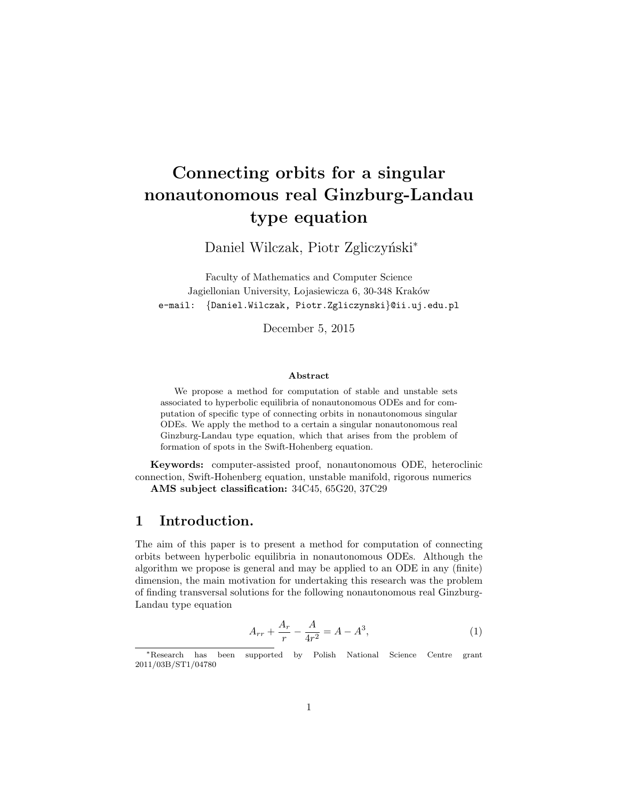# Connecting orbits for a singular nonautonomous real Ginzburg-Landau type equation

Daniel Wilczak, Piotr Zgliczyński<sup>\*</sup>

Faculty of Mathematics and Computer Science Jagiellonian University, Lojasiewicza 6, 30-348 Kraków e-mail: {Daniel.Wilczak, Piotr.Zgliczynski}@ii.uj.edu.pl

December 5, 2015

#### Abstract

We propose a method for computation of stable and unstable sets associated to hyperbolic equilibria of nonautonomous ODEs and for computation of specific type of connecting orbits in nonautonomous singular ODEs. We apply the method to a certain a singular nonautonomous real Ginzburg-Landau type equation, which that arises from the problem of formation of spots in the Swift-Hohenberg equation.

Keywords: computer-assisted proof, nonautonomous ODE, heteroclinic connection, Swift-Hohenberg equation, unstable manifold, rigorous numerics

AMS subject classification: 34C45, 65G20, 37C29

## 1 Introduction.

The aim of this paper is to present a method for computation of connecting orbits between hyperbolic equilibria in nonautonomous ODEs. Although the algorithm we propose is general and may be applied to an ODE in any (finite) dimension, the main motivation for undertaking this research was the problem of finding transversal solutions for the following nonautonomous real Ginzburg-Landau type equation

$$
A_{rr} + \frac{A_r}{r} - \frac{A}{4r^2} = A - A^3,\tag{1}
$$

<sup>∗</sup>Research has been supported by Polish National Science Centre grant 2011/03B/ST1/04780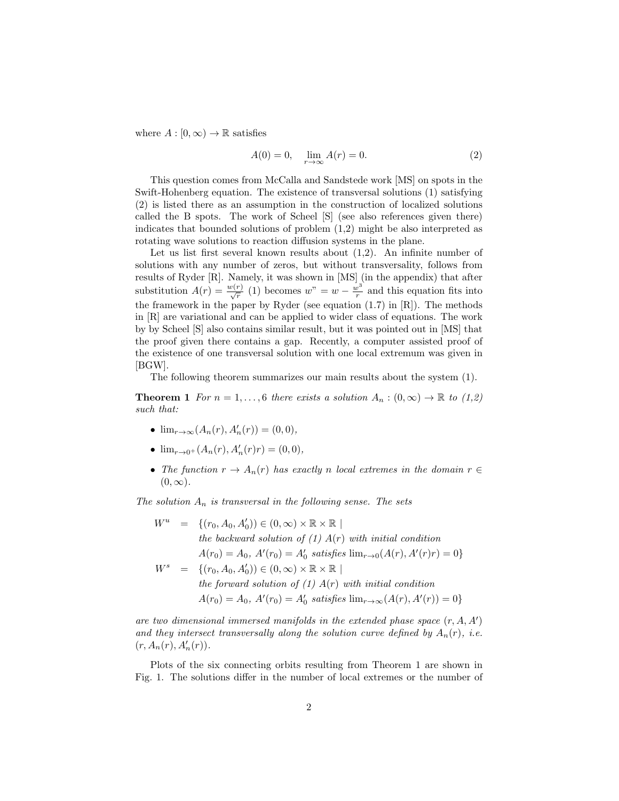where  $A : [0, \infty) \to \mathbb{R}$  satisfies

$$
A(0) = 0, \quad \lim_{r \to \infty} A(r) = 0.
$$
 (2)

This question comes from McCalla and Sandstede work [MS] on spots in the Swift-Hohenberg equation. The existence of transversal solutions (1) satisfying (2) is listed there as an assumption in the construction of localized solutions called the B spots. The work of Scheel [S] (see also references given there) indicates that bounded solutions of problem (1,2) might be also interpreted as rotating wave solutions to reaction diffusion systems in the plane.

Let us list first several known results about  $(1,2)$ . An infinite number of solutions with any number of zeros, but without transversality, follows from results of Ryder [R]. Namely, it was shown in [MS] (in the appendix) that after substitution  $A(r) = \frac{w(r)}{\sqrt{r}}$  (1) becomes  $w'' = w - \frac{w^3}{r}$  $\frac{v^{\circ}}{r}$  and this equation fits into the framework in the paper by Ryder (see equation  $(1.7)$  in  $[R]$ ). The methods in [R] are variational and can be applied to wider class of equations. The work by by Scheel [S] also contains similar result, but it was pointed out in [MS] that the proof given there contains a gap. Recently, a computer assisted proof of the existence of one transversal solution with one local extremum was given in [BGW].

The following theorem summarizes our main results about the system (1).

**Theorem 1** For  $n = 1, ..., 6$  there exists a solution  $A_n : (0, \infty) \to \mathbb{R}$  to  $(1, 2)$ such that:

- $\lim_{r \to \infty} (A_n(r), A'_n(r)) = (0, 0),$
- $\lim_{r \to 0^+} (A_n(r), A'_n(r)r) = (0, 0),$
- The function  $r \to A_n(r)$  has exactly n local extremes in the domain  $r \in$  $(0, \infty)$ .

The solution  $A_n$  is transversal in the following sense. The sets

$$
W^u = \{(r_0, A_0, A'_0) \in (0, \infty) \times \mathbb{R} \times \mathbb{R} \mid
$$
  
\nthe backward solution of (1)  $A(r)$  with initial condition  
\n
$$
A(r_0) = A_0, A'(r_0) = A'_0 \text{ satisfies } \lim_{r \to 0} (A(r), A'(r)r) = 0 \}
$$
  
\n
$$
W^s = \{(r_0, A_0, A'_0) \in (0, \infty) \times \mathbb{R} \times \mathbb{R} \mid
$$
  
\nthe forward solution of (1)  $A(r)$  with initial condition  
\n
$$
A(r_0) = A_0, A'(r_0) = A'_0 \text{ satisfies } \lim_{r \to \infty} (A(r), A'(r)) = 0 \}
$$

are two dimensional immersed manifolds in the extended phase space  $(r, A, A')$ and they intersect transversally along the solution curve defined by  $A_n(r)$ , i.e.  $(r, A_n(r), A'_n(r)).$ 

Plots of the six connecting orbits resulting from Theorem 1 are shown in Fig. 1. The solutions differ in the number of local extremes or the number of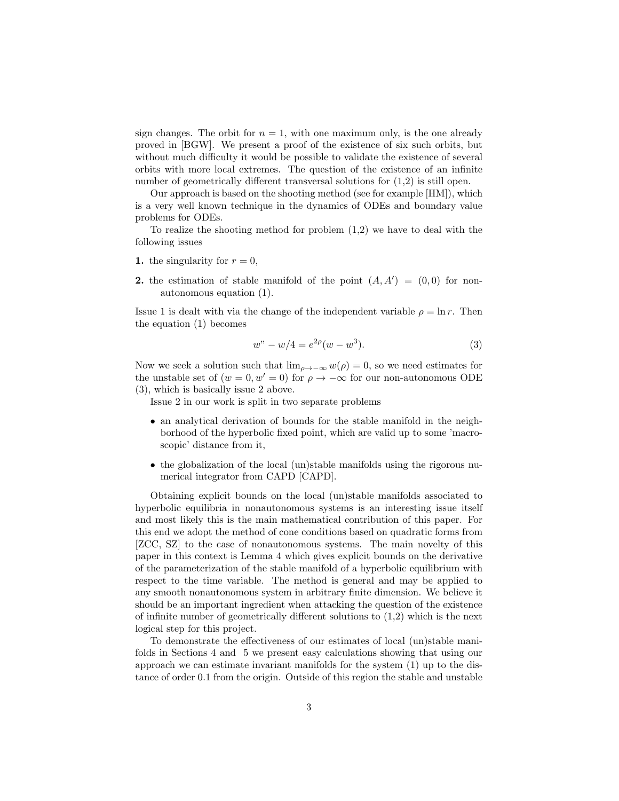sign changes. The orbit for  $n = 1$ , with one maximum only, is the one already proved in [BGW]. We present a proof of the existence of six such orbits, but without much difficulty it would be possible to validate the existence of several orbits with more local extremes. The question of the existence of an infinite number of geometrically different transversal solutions for (1,2) is still open.

Our approach is based on the shooting method (see for example [HM]), which is a very well known technique in the dynamics of ODEs and boundary value problems for ODEs.

To realize the shooting method for problem  $(1,2)$  we have to deal with the following issues

- 1. the singularity for  $r = 0$ ,
- 2. the estimation of stable manifold of the point  $(A, A') = (0, 0)$  for nonautonomous equation (1).

Issue 1 is dealt with via the change of the independent variable  $\rho = \ln r$ . Then the equation (1) becomes

$$
w'' - w/4 = e^{2\rho}(w - w^3).
$$
 (3)

Now we seek a solution such that  $\lim_{\rho \to -\infty} w(\rho) = 0$ , so we need estimates for the unstable set of  $(w = 0, w' = 0)$  for  $\rho \to -\infty$  for our non-autonomous ODE (3), which is basically issue 2 above.

Issue 2 in our work is split in two separate problems

- an analytical derivation of bounds for the stable manifold in the neighborhood of the hyperbolic fixed point, which are valid up to some 'macroscopic' distance from it,
- the globalization of the local (un)stable manifolds using the rigorous numerical integrator from CAPD [CAPD].

Obtaining explicit bounds on the local (un)stable manifolds associated to hyperbolic equilibria in nonautonomous systems is an interesting issue itself and most likely this is the main mathematical contribution of this paper. For this end we adopt the method of cone conditions based on quadratic forms from [ZCC, SZ] to the case of nonautonomous systems. The main novelty of this paper in this context is Lemma 4 which gives explicit bounds on the derivative of the parameterization of the stable manifold of a hyperbolic equilibrium with respect to the time variable. The method is general and may be applied to any smooth nonautonomous system in arbitrary finite dimension. We believe it should be an important ingredient when attacking the question of the existence of infinite number of geometrically different solutions to  $(1,2)$  which is the next logical step for this project.

To demonstrate the effectiveness of our estimates of local (un)stable manifolds in Sections 4 and 5 we present easy calculations showing that using our approach we can estimate invariant manifolds for the system (1) up to the distance of order 0.1 from the origin. Outside of this region the stable and unstable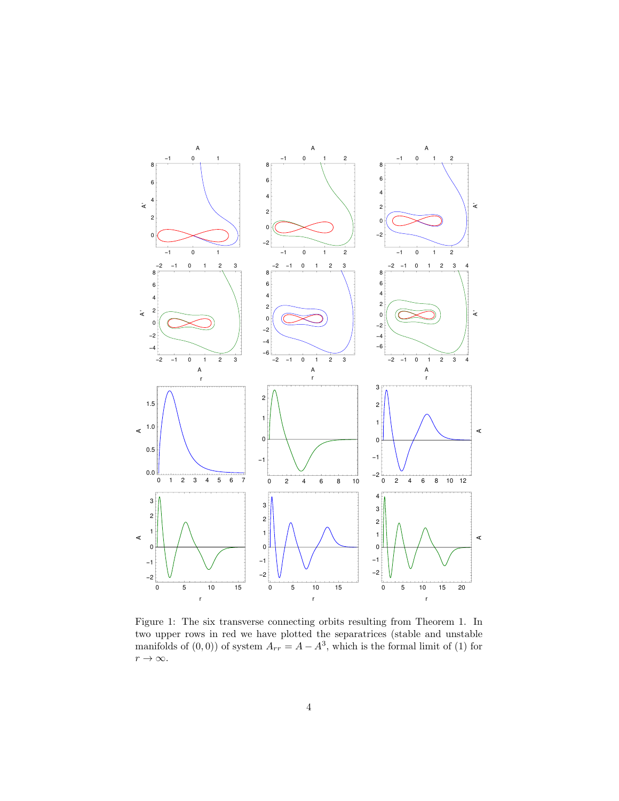

Figure 1: The six transverse connecting orbits resulting from Theorem 1. In two upper rows in red we have plotted the separatrices (stable and unstable manifolds of  $(0,0)$  of system  $A_{rr} = A - A^3$ , which is the formal limit of (1) for  $r \to \infty$ .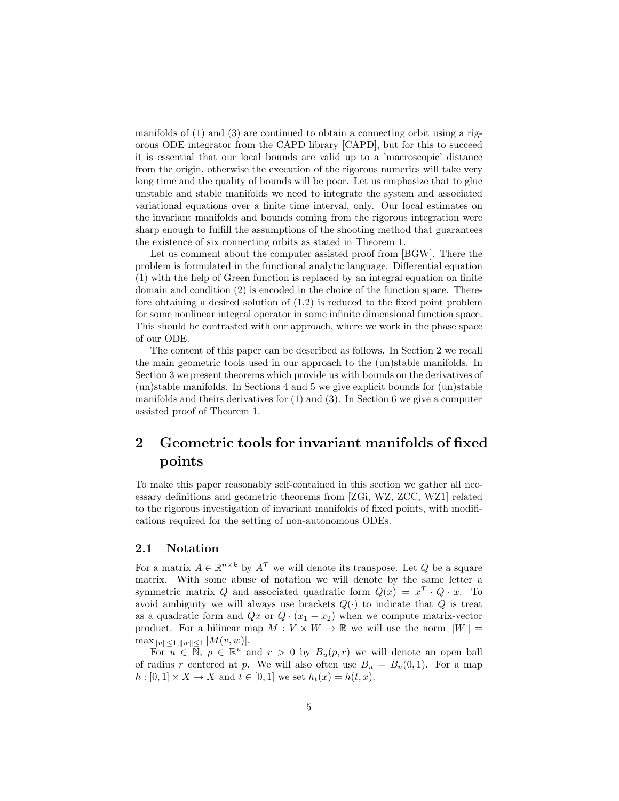manifolds of (1) and (3) are continued to obtain a connecting orbit using a rigorous ODE integrator from the CAPD library [CAPD], but for this to succeed it is essential that our local bounds are valid up to a 'macroscopic' distance from the origin, otherwise the execution of the rigorous numerics will take very long time and the quality of bounds will be poor. Let us emphasize that to glue unstable and stable manifolds we need to integrate the system and associated variational equations over a finite time interval, only. Our local estimates on the invariant manifolds and bounds coming from the rigorous integration were sharp enough to fulfill the assumptions of the shooting method that guarantees the existence of six connecting orbits as stated in Theorem 1.

Let us comment about the computer assisted proof from [BGW]. There the problem is formulated in the functional analytic language. Differential equation (1) with the help of Green function is replaced by an integral equation on finite domain and condition (2) is encoded in the choice of the function space. Therefore obtaining a desired solution of (1,2) is reduced to the fixed point problem for some nonlinear integral operator in some infinite dimensional function space. This should be contrasted with our approach, where we work in the phase space of our ODE.

The content of this paper can be described as follows. In Section 2 we recall the main geometric tools used in our approach to the (un)stable manifolds. In Section 3 we present theorems which provide us with bounds on the derivatives of  $(\text{un})$ stable manifolds. In Sections 4 and 5 we give explicit bounds for  $(\text{un})$ stable manifolds and theirs derivatives for (1) and (3). In Section 6 we give a computer assisted proof of Theorem 1.

## 2 Geometric tools for invariant manifolds of fixed points

To make this paper reasonably self-contained in this section we gather all necessary definitions and geometric theorems from [ZGi, WZ, ZCC, WZ1] related to the rigorous investigation of invariant manifolds of fixed points, with modifications required for the setting of non-autonomous ODEs.

### 2.1 Notation

For a matrix  $A \in \mathbb{R}^{n \times k}$  by  $A<sup>T</sup>$  we will denote its transpose. Let Q be a square matrix. With some abuse of notation we will denote by the same letter a symmetric matrix Q and associated quadratic form  $Q(x) = x^T \cdot Q \cdot x$ . To avoid ambiguity we will always use brackets  $Q(\cdot)$  to indicate that Q is treat as a quadratic form and  $Qx$  or  $Q \cdot (x_1 - x_2)$  when we compute matrix-vector product. For a bilinear map  $M: V \times W \to \mathbb{R}$  we will use the norm  $||W|| =$  $\max_{\|v\| \leq 1, \|w\| \leq 1} |M(v, w)|.$ 

For  $u \in \mathbb{N}$ ,  $p \in \mathbb{R}^u$  and  $r > 0$  by  $B_u(p,r)$  we will denote an open ball of radius r centered at p. We will also often use  $B_u = B_u(0, 1)$ . For a map  $h: [0,1] \times X \to X$  and  $t \in [0,1]$  we set  $h_t(x) = h(t, x)$ .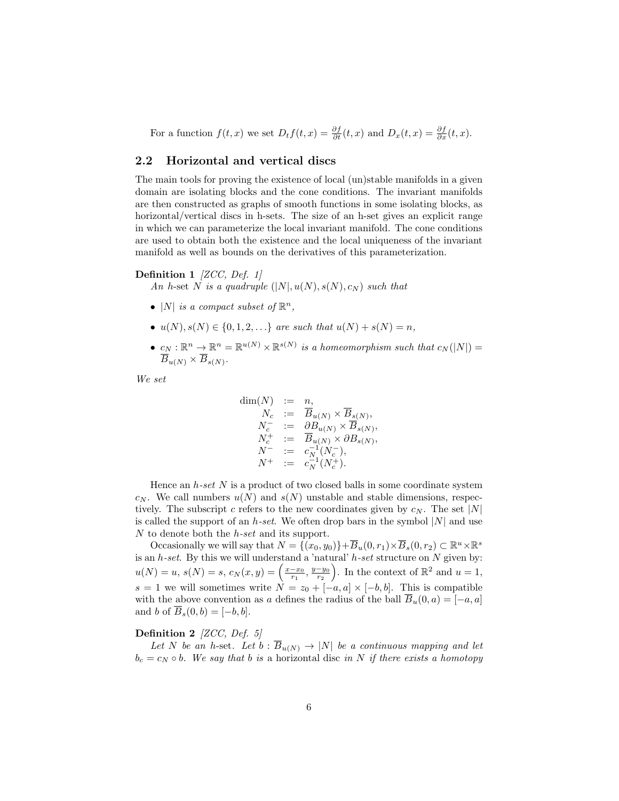For a function  $f(t, x)$  we set  $D_t f(t, x) = \frac{\partial f}{\partial t}(t, x)$  and  $D_x(t, x) = \frac{\partial f}{\partial x}(t, x)$ .

## 2.2 Horizontal and vertical discs

The main tools for proving the existence of local (un)stable manifolds in a given domain are isolating blocks and the cone conditions. The invariant manifolds are then constructed as graphs of smooth functions in some isolating blocks, as horizontal/vertical discs in h-sets. The size of an h-set gives an explicit range in which we can parameterize the local invariant manifold. The cone conditions are used to obtain both the existence and the local uniqueness of the invariant manifold as well as bounds on the derivatives of this parameterization.

#### Definition 1 *[ZCC, Def. 1]*

An h-set N is a quadruple  $(|N|, u(N), s(N), c_N)$  such that

- |N| is a compact subset of  $\mathbb{R}^n$ ,
- $u(N), s(N) \in \{0, 1, 2, \ldots\}$  are such that  $u(N) + s(N) = n$ ,
- $c_N : \mathbb{R}^n \to \mathbb{R}^n = \mathbb{R}^{u(N)} \times \mathbb{R}^{s(N)}$  is a homeomorphism such that  $c_N(|N|) =$  $\overline{B}_{u(N)}\times\overline{B}_{s(N)}.$

We set

$$
\dim(N) := n,
$$
  
\n
$$
N_c := \overline{B}_{u(N)} \times \overline{B}_{s(N)},
$$
  
\n
$$
N_c^- := \partial B_{u(N)} \times \overline{B}_{s(N)},
$$
  
\n
$$
N_c^+ := \overline{B}_{u(N)} \times \partial B_{s(N)},
$$
  
\n
$$
N^- := c_N^{-1}(N_c^-),
$$
  
\n
$$
N^+ := c_N^{-1}(N_c^+).
$$

Hence an  $h\text{-}set\ N$  is a product of two closed balls in some coordinate system  $c_N$ . We call numbers  $u(N)$  and  $s(N)$  unstable and stable dimensions, respectively. The subscript c refers to the new coordinates given by  $c_N$ . The set |N| is called the support of an h-set. We often drop bars in the symbol  $|N|$  and use N to denote both the  $h\text{-}set$  and its support.

Occasionally we will say that  $N = \{(x_0, y_0)\} + \overline{B}_u(0, r_1) \times \overline{B}_s(0, r_2) \subset \mathbb{R}^u \times \mathbb{R}^s$ is an  $h$ -set. By this we will understand a 'natural'  $h$ -set structure on  $N$  given by:  $u(N) = u, s(N) = s, c_N(x, y) = \left(\frac{x - x_0}{r_1}, \frac{y - y_0}{r_2}\right)$ . In the context of  $\mathbb{R}^2$  and  $u = 1$ , s = 1 we will sometimes write  $N = z_0 + [-a, a] \times [-b, b]$ . This is compatible with the above convention as a defines the radius of the ball  $\overline{B}_u(0, a) = [-a, a]$ and b of  $\overline{B}_s(0,b) = [-b,b].$ 

### Definition 2 [ZCC, Def. 5]

Let N be an h-set. Let  $b : \overline{B}_{u(N)} \to |N|$  be a continuous mapping and let  $b_c = c_N \circ b$ . We say that b is a horizontal disc in N if there exists a homotopy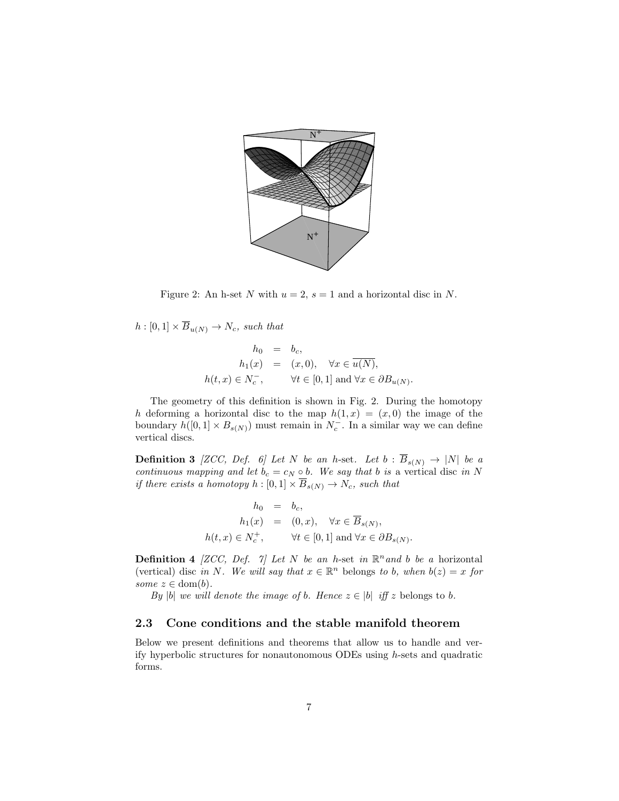

Figure 2: An h-set N with  $u = 2$ ,  $s = 1$  and a horizontal disc in N.

 $h : [0,1] \times \overline{B}_{u(N)} \to N_c$ , such that

$$
h_0 = b_c,
$$
  
\n
$$
h_1(x) = (x, 0), \quad \forall x \in \overline{u(N)},
$$
  
\n
$$
h(t, x) \in N_c^-, \qquad \forall t \in [0, 1] \text{ and } \forall x \in \partial B_{u(N)}.
$$

The geometry of this definition is shown in Fig. 2. During the homotopy h deforming a horizontal disc to the map  $h(1, x) = (x, 0)$  the image of the boundary  $h([0,1] \times B_{s(N)})$  must remain in  $N_c^-$ . In a similar way we can define vertical discs.

**Definition 3** [ZCC, Def. 6] Let N be an h-set. Let  $b : \overline{B}_{s(N)} \to |N|$  be a continuous mapping and let  $b_c = c_N \circ b$ . We say that b is a vertical disc in N if there exists a homotopy  $h : [0,1] \times \overline{B}_{s(N)} \to N_c$ , such that

$$
h_0 = b_c,
$$
  
\n
$$
h_1(x) = (0, x), \quad \forall x \in \overline{B}_{s(N)},
$$
  
\n
$$
h(t, x) \in N_c^+, \qquad \forall t \in [0, 1] \text{ and } \forall x \in \partial B_{s(N)}.
$$

**Definition 4** [ZCC, Def. 7] Let N be an h-set in  $\mathbb{R}^n$  and b be a horizontal (vertical) disc in N. We will say that  $x \in \mathbb{R}^n$  belongs to b, when  $b(z) = x$  for some  $z \in \text{dom}(b)$ .

By |b| we will denote the image of b. Hence  $z \in |b|$  iff z belongs to b.

### 2.3 Cone conditions and the stable manifold theorem

Below we present definitions and theorems that allow us to handle and verify hyperbolic structures for nonautonomous ODEs using h-sets and quadratic forms.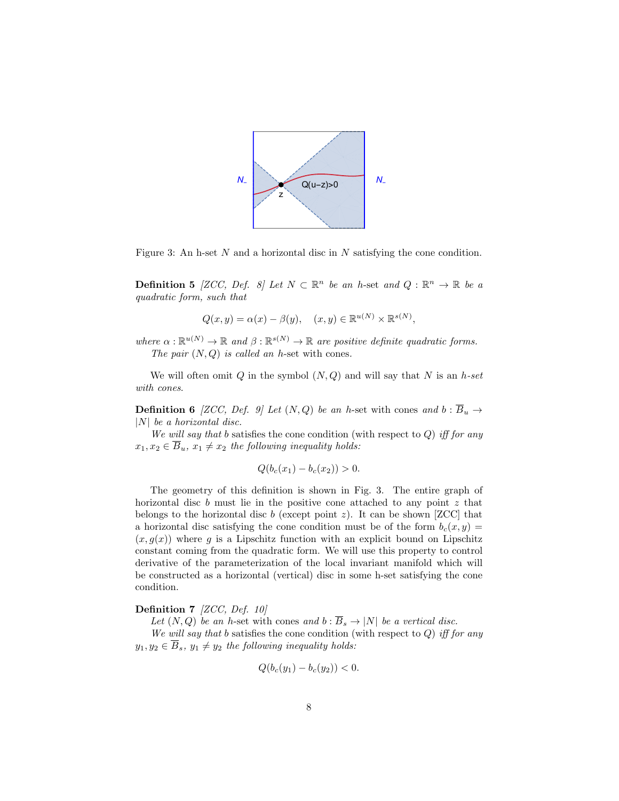

Figure 3: An h-set  $N$  and a horizontal disc in  $N$  satisfying the cone condition.

**Definition 5** [ZCC, Def. 8] Let  $N \subset \mathbb{R}^n$  be an h-set and  $Q : \mathbb{R}^n \to \mathbb{R}$  be a quadratic form, such that

$$
Q(x, y) = \alpha(x) - \beta(y), \quad (x, y) \in \mathbb{R}^{u(N)} \times \mathbb{R}^{s(N)},
$$

where  $\alpha : \mathbb{R}^{u(N)} \to \mathbb{R}$  and  $\beta : \mathbb{R}^{s(N)} \to \mathbb{R}$  are positive definite quadratic forms. The pair  $(N, Q)$  is called an h-set with cones.

We will often omit  $Q$  in the symbol  $(N, Q)$  and will say that N is an h-set with cones.

**Definition 6** [ZCC, Def. 9] Let  $(N, Q)$  be an h-set with cones and  $b : \overline{B}_u \to$  $|N|$  be a horizontal disc.

We will say that b satisfies the cone condition (with respect to  $Q$ ) iff for any  $x_1, x_2 \in \overline{B}_u$ ,  $x_1 \neq x_2$  the following inequality holds:

$$
Q(b_c(x_1) - b_c(x_2)) > 0.
$$

The geometry of this definition is shown in Fig. 3. The entire graph of horizontal disc  $b$  must lie in the positive cone attached to any point  $z$  that belongs to the horizontal disc b (except point z). It can be shown [ZCC] that a horizontal disc satisfying the cone condition must be of the form  $b_c(x, y) =$  $(x, g(x))$  where g is a Lipschitz function with an explicit bound on Lipschitz constant coming from the quadratic form. We will use this property to control derivative of the parameterization of the local invariant manifold which will be constructed as a horizontal (vertical) disc in some h-set satisfying the cone condition.

#### Definition 7 [ZCC, Def. 10]

Let  $(N, Q)$  be an h-set with cones and  $b : \overline{B}_s \to |N|$  be a vertical disc.

We will say that b satisfies the cone condition (with respect to  $Q$ ) iff for any  $y_1, y_2 \in \overline{B}_s$ ,  $y_1 \neq y_2$  the following inequality holds:

$$
Q(b_c(y_1) - b_c(y_2)) < 0.
$$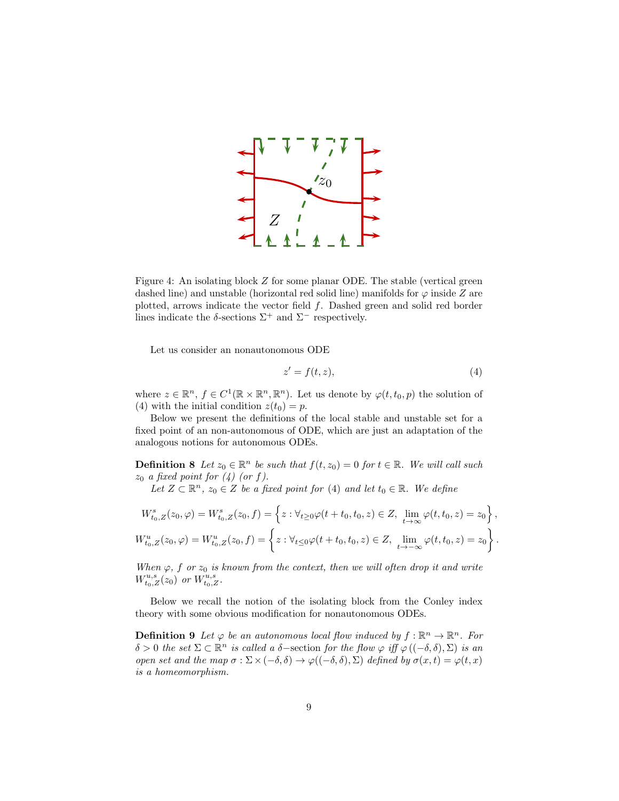

Figure 4: An isolating block Z for some planar ODE. The stable (vertical green dashed line) and unstable (horizontal red solid line) manifolds for  $\varphi$  inside Z are plotted, arrows indicate the vector field  $f$ . Dashed green and solid red border lines indicate the  $\delta$ -sections  $\Sigma^+$  and  $\Sigma^-$  respectively.

Let us consider an nonautonomous ODE

$$
z' = f(t, z),\tag{4}
$$

where  $z \in \mathbb{R}^n$ ,  $f \in C^1(\mathbb{R} \times \mathbb{R}^n, \mathbb{R}^n)$ . Let us denote by  $\varphi(t, t_0, p)$  the solution of (4) with the initial condition  $z(t_0) = p$ .

Below we present the definitions of the local stable and unstable set for a fixed point of an non-autonomous of ODE, which are just an adaptation of the analogous notions for autonomous ODEs.

**Definition 8** Let  $z_0 \in \mathbb{R}^n$  be such that  $f(t, z_0) = 0$  for  $t \in \mathbb{R}$ . We will call such  $z_0$  a fixed point for  $(4)$  (or f).

Let  $Z \subset \mathbb{R}^n$ ,  $z_0 \in Z$  be a fixed point for (4) and let  $t_0 \in \mathbb{R}$ . We define

$$
W_{t_0,Z}^s(z_0,\varphi) = W_{t_0,Z}^s(z_0,f) = \left\{ z : \forall_{t \ge 0} \varphi(t+t_0,t_0,z) \in Z, \lim_{t \to \infty} \varphi(t,t_0,z) = z_0 \right\},
$$
  

$$
W_{t_0,Z}^u(z_0,\varphi) = W_{t_0,Z}^u(z_0,f) = \left\{ z : \forall_{t \le 0} \varphi(t+t_0,t_0,z) \in Z, \lim_{t \to -\infty} \varphi(t,t_0,z) = z_0 \right\}.
$$

When  $\varphi$ , f or  $z_0$  is known from the context, then we will often drop it and write  $W_{t_0,Z}^{u,s}(z_0)$  or  $W_{t_0,Z}^{u,s}$ .

Below we recall the notion of the isolating block from the Conley index theory with some obvious modification for nonautonomous ODEs.

**Definition 9** Let  $\varphi$  be an autonomous local flow induced by  $f : \mathbb{R}^n \to \mathbb{R}^n$ . For  $\delta > 0$  the set  $\Sigma \subset \mathbb{R}^n$  is called a  $\delta$ -section for the flow  $\varphi$  iff  $\varphi((-\delta,\delta),\Sigma)$  is an open set and the map  $\sigma : \Sigma \times (-\delta, \delta) \to \varphi((-\delta, \delta), \Sigma)$  defined by  $\sigma(x, t) = \varphi(t, x)$ is a homeomorphism.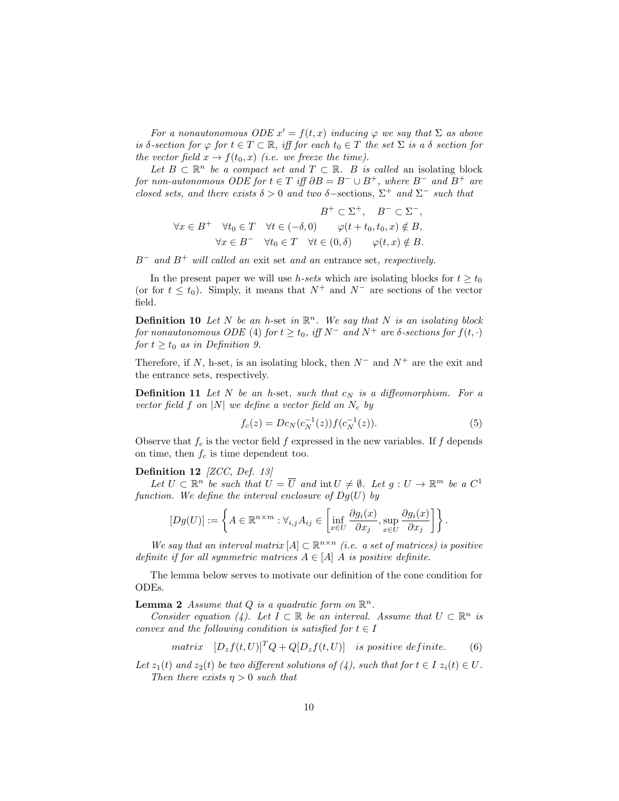For a nonautonomous ODE  $x' = f(t, x)$  inducing  $\varphi$  we say that  $\Sigma$  as above is δ-section for  $\varphi$  for  $t \in T \subset \mathbb{R}$ , iff for each  $t_0 \in T$  the set  $\Sigma$  is a  $\delta$  section for the vector field  $x \to f(t_0, x)$  (i.e. we freeze the time).

Let  $B \subset \mathbb{R}^n$  be a compact set and  $T \subset \mathbb{R}$ . B is called an isolating block for non-autonomous ODE for  $t \in T$  iff  $\partial B = B^- \cup B^+$ , where  $B^-$  and  $B^+$  are closed sets, and there exists  $\delta > 0$  and two  $\delta$ -sections,  $\Sigma^+$  and  $\Sigma^-$  such that

$$
B^{+} \subset \Sigma^{+}, \quad B^{-} \subset \Sigma^{-},
$$
  

$$
\forall x \in B^{+} \quad \forall t_{0} \in T \quad \forall t \in (-\delta, 0) \qquad \varphi(t+t_{0}, t_{0}, x) \notin B,
$$
  

$$
\forall x \in B^{-} \quad \forall t_{0} \in T \quad \forall t \in (0, \delta) \qquad \varphi(t, x) \notin B.
$$

 $B^-$  and  $B^+$  will called an exit set and an entrance set, respectively.

In the present paper we will use h-sets which are isolating blocks for  $t \geq t_0$ (or for  $t \leq t_0$ ). Simply, it means that  $N^+$  and  $N^-$  are sections of the vector field.

**Definition 10** Let N be an h-set in  $\mathbb{R}^n$ . We say that N is an isolating block for nonautonomous ODE (4) for  $t \ge t_0$ , iff  $N^-$  and  $N^+$  are  $\delta$ -sections for  $f(t, \cdot)$ for  $t \geq t_0$  as in Definition 9.

Therefore, if N, h-set, is an isolating block, then  $N^-$  and  $N^+$  are the exit and the entrance sets, respectively.

**Definition 11** Let N be an h-set, such that  $c_N$  is a diffeomorphism. For a vector field f on |N| we define a vector field on  $N_c$  by

$$
f_c(z) = Dc_N(c_N^{-1}(z))f(c_N^{-1}(z)).
$$
\n(5)

Observe that  $f_c$  is the vector field f expressed in the new variables. If f depends on time, then  $f_c$  is time dependent too.

#### Definition 12 [ZCC, Def. 13]

Let  $U \subset \mathbb{R}^n$  be such that  $\hat{U} = \overline{U}$  and  $\text{int } U \neq \emptyset$ . Let  $g: U \to \mathbb{R}^m$  be a  $C^1$ function. We define the interval enclosure of  $Dg(U)$  by

$$
[Dg(U)] := \left\{ A \in \mathbb{R}^{n \times m} : \forall_{i,j} A_{ij} \in \left[ \inf_{x \in U} \frac{\partial g_i(x)}{\partial x_j}, \sup_{x \in U} \frac{\partial g_i(x)}{\partial x_j} \right] \right\}.
$$

We say that an interval matrix  $[A] \subset \mathbb{R}^{n \times n}$  (i.e. a set of matrices) is positive definite if for all symmetric matrices  $A \in [A]$  A is positive definite.

The lemma below serves to motivate our definition of the cone condition for ODEs.

**Lemma 2** Assume that Q is a quadratic form on  $\mathbb{R}^n$ .

Consider equation (4). Let  $I \subset \mathbb{R}$  be an interval. Assume that  $U \subset \mathbb{R}^n$  is convex and the following condition is satisfied for  $t \in I$ 

$$
matrix \ [D_z f(t, U)]^T Q + Q[D_z f(t, U)] \ \ is \ positive \ definite. \tag{6}
$$

Let  $z_1(t)$  and  $z_2(t)$  be two different solutions of (4), such that for  $t \in I$   $z_i(t) \in U$ . Then there exists  $\eta > 0$  such that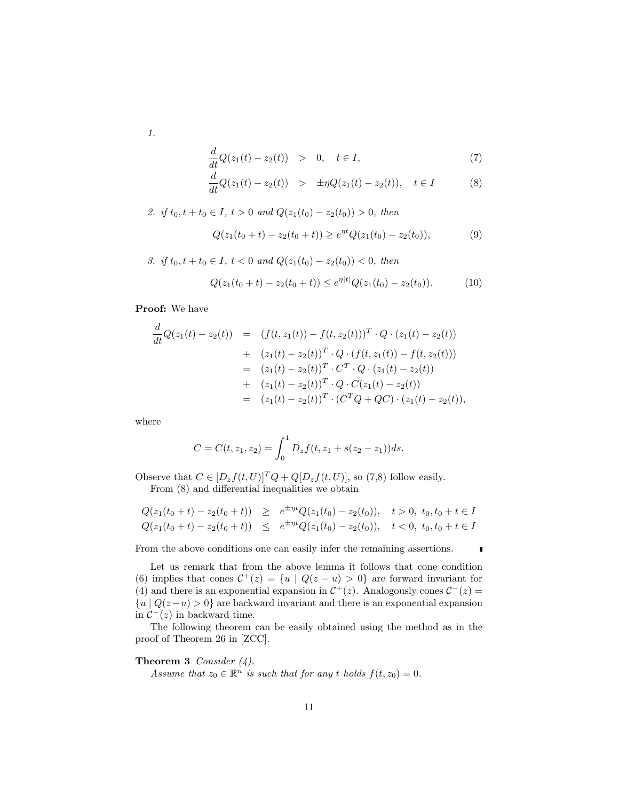1.

$$
\frac{d}{dt}Q(z_1(t) - z_2(t)) > 0, \quad t \in I,
$$
\n
$$
(7)
$$

$$
\frac{d}{dt}Q(z_1(t) - z_2(t)) > \pm \eta Q(z_1(t) - z_2(t)), \quad t \in I
$$
\n(8)

2. if 
$$
t_0, t + t_0 \in I
$$
,  $t > 0$  and  $Q(z_1(t_0) - z_2(t_0)) > 0$ , then

$$
Q(z_1(t_0+t)-z_2(t_0+t)) \ge e^{\eta t} Q(z_1(t_0)-z_2(t_0)),\tag{9}
$$

3. if 
$$
t_0, t + t_0 \in I
$$
,  $t < 0$  and  $Q(z_1(t_0) - z_2(t_0)) < 0$ , then

$$
Q(z_1(t_0+t) - z_2(t_0+t)) \le e^{\eta|t|} Q(z_1(t_0) - z_2(t_0)). \tag{10}
$$

Proof: We have

$$
\frac{d}{dt}Q(z_1(t) - z_2(t)) = (f(t, z_1(t)) - f(t, z_2(t)))^T \cdot Q \cdot (z_1(t) - z_2(t))
$$
\n
$$
+ (z_1(t) - z_2(t))^T \cdot Q \cdot (f(t, z_1(t)) - f(t, z_2(t)))
$$
\n
$$
= (z_1(t) - z_2(t))^T \cdot C^T \cdot Q \cdot (z_1(t) - z_2(t))
$$
\n
$$
+ (z_1(t) - z_2(t))^T \cdot Q \cdot C(z_1(t) - z_2(t))
$$
\n
$$
= (z_1(t) - z_2(t))^T \cdot (C^T Q + QC) \cdot (z_1(t) - z_2(t)),
$$

where

$$
C = C(t, z_1, z_2) = \int_0^1 D_z f(t, z_1 + s(z_2 - z_1)) ds.
$$

Observe that  $C \in [D_z f(t, U)]^T Q + Q[D_z f(t, U)]$ , so (7,8) follow easily. From (8) and differential inequalities we obtain

$$
Q(z_1(t_0+t)-z_2(t_0+t)) \geq e^{\pm \eta t} Q(z_1(t_0)-z_2(t_0)), \quad t > 0, \ t_0, t_0+t \in I
$$
  

$$
Q(z_1(t_0+t)-z_2(t_0+t)) \leq e^{\pm \eta t} Q(z_1(t_0)-z_2(t_0)), \quad t < 0, \ t_0, t_0+t \in I
$$

From the above conditions one can easily infer the remaining assertions.

Let us remark that from the above lemma it follows that cone condition (6) implies that cones  $C^+(z) = \{u \mid Q(z - u) > 0\}$  are forward invariant for (4) and there is an exponential expansion in  $\mathcal{C}^+(z)$ . Analogously cones  $\mathcal{C}^-(z)$  ${u | Q(z-u) > 0}$  are backward invariant and there is an exponential expansion in  $C^-(z)$  in backward time.

The following theorem can be easily obtained using the method as in the proof of Theorem 26 in [ZCC].

**Theorem 3** Consider  $(4)$ . Assume that  $z_0 \in \mathbb{R}^n$  is such that for any t holds  $f(t, z_0) = 0$ .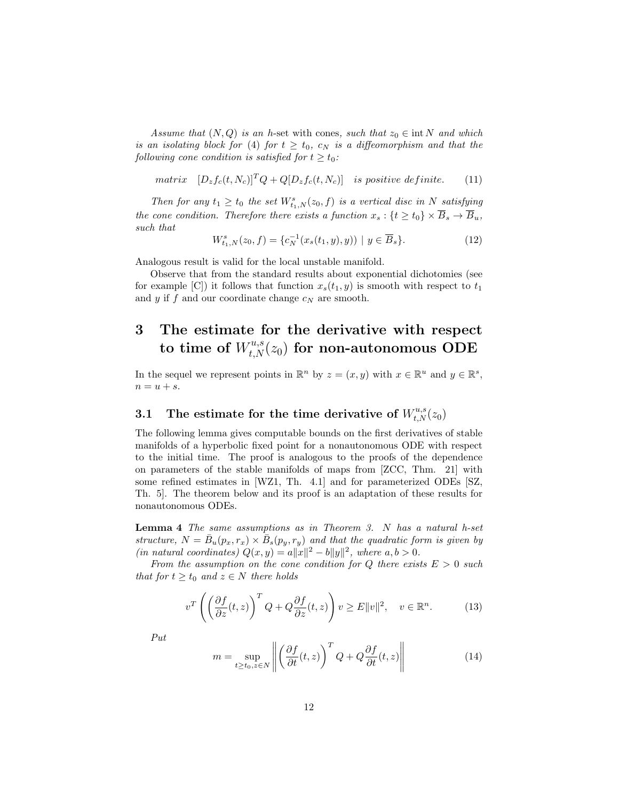Assume that  $(N, Q)$  is an h-set with cones, such that  $z_0 \in \text{int } N$  and which is an isolating block for (4) for  $t \geq t_0$ ,  $c_N$  is a diffeomorphism and that the following cone condition is satisfied for  $t \geq t_0$ :

matrix  $[D_z f_c(t, N_c)]^T Q + Q[D_z f_c(t, N_c)]$  is positive definite. (11)

Then for any  $t_1 \geq t_0$  the set  $W^s_{t_1,N}(z_0, f)$  is a vertical disc in N satisfying the cone condition. Therefore there exists a function  $x_s: \{t \ge t_0\} \times \overline{B}_s \to \overline{B}_u$ , such that

$$
W_{t_1,N}^s(z_0,f) = \{c_N^{-1}(x_s(t_1,y),y)) \mid y \in \overline{B}_s\}.
$$
\n(12)

Analogous result is valid for the local unstable manifold.

Observe that from the standard results about exponential dichotomies (see for example [C]) it follows that function  $x_s(t_1, y)$  is smooth with respect to  $t_1$ and  $y$  if  $f$  and our coordinate change  $c_N$  are smooth.

# 3 The estimate for the derivative with respect to time of  $W_{t,N}^{u,s}(z_{0})$  for non-autonomous ODE

In the sequel we represent points in  $\mathbb{R}^n$  by  $z = (x, y)$  with  $x \in \mathbb{R}^u$  and  $y \in \mathbb{R}^s$ ,  $n = u + s.$ 

# 3.1 The estimate for the time derivative of  $W^{u,s}_{t,N}(z_0)$

The following lemma gives computable bounds on the first derivatives of stable manifolds of a hyperbolic fixed point for a nonautonomous ODE with respect to the initial time. The proof is analogous to the proofs of the dependence on parameters of the stable manifolds of maps from [ZCC, Thm. 21] with some refined estimates in [WZ1, Th. 4.1] and for parameterized ODEs [SZ, Th. 5]. The theorem below and its proof is an adaptation of these results for nonautonomous ODEs.

Lemma 4 The same assumptions as in Theorem 3. N has a natural h-set structure,  $N = \bar{B}_u(p_x, r_x) \times \bar{B}_s(p_y, r_y)$  and that the quadratic form is given by (in natural coordinates)  $Q(x, y) = a||x||^2 - b||y||^2$ , where  $a, b > 0$ .

From the assumption on the cone condition for Q there exists  $E > 0$  such that for  $t \geq t_0$  and  $z \in N$  there holds

$$
v^T \left( \left( \frac{\partial f}{\partial z}(t, z) \right)^T Q + Q \frac{\partial f}{\partial z}(t, z) \right) v \ge E ||v||^2, \quad v \in \mathbb{R}^n.
$$
 (13)

Put

$$
m = \sup_{t \ge t_0, z \in N} \left\| \left( \frac{\partial f}{\partial t}(t, z) \right)^T Q + Q \frac{\partial f}{\partial t}(t, z) \right\| \tag{14}
$$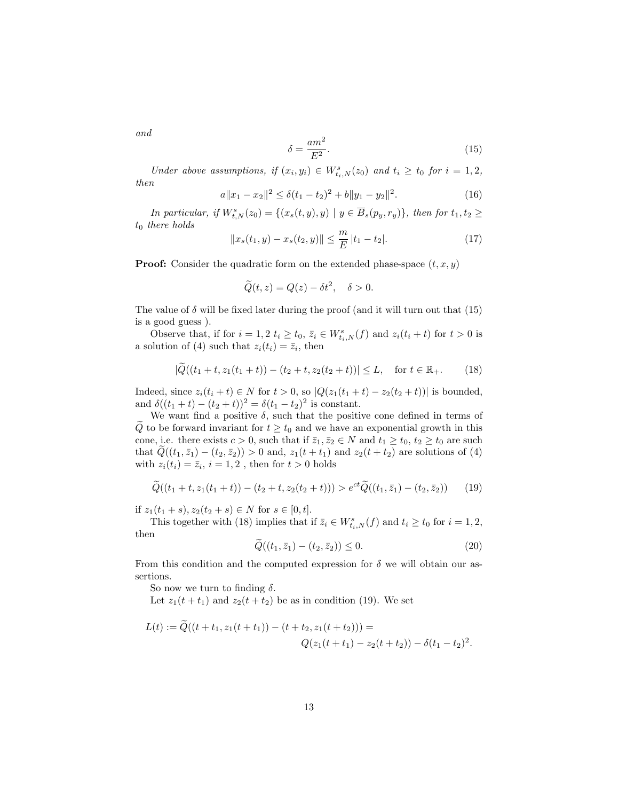and

$$
\delta = \frac{am^2}{E^2}.\tag{15}
$$

Under above assumptions, if  $(x_i, y_i) \in W^s_{t_i,N}(z_0)$  and  $t_i \geq t_0$  for  $i = 1, 2$ , then

$$
a||x_1 - x_2||^2 \le \delta(t_1 - t_2)^2 + b||y_1 - y_2||^2. \tag{16}
$$

In particular, if  $W_{t,N}^s(z_0) = \{(x_s(t,y), y) \mid y \in \overline{B}_s(p_y, r_y)\}\$ , then for  $t_1, t_2 \geq$  $t_0$  there holds

$$
||x_s(t_1, y) - x_s(t_2, y)|| \le \frac{m}{E} |t_1 - t_2|.
$$
 (17)

**Proof:** Consider the quadratic form on the extended phase-space  $(t, x, y)$ 

$$
\widetilde{Q}(t,z) = Q(z) - \delta t^2, \quad \delta > 0.
$$

The value of  $\delta$  will be fixed later during the proof (and it will turn out that (15) is a good guess ).

Observe that, if for  $i = 1, 2$   $t_i \ge t_0$ ,  $\bar{z}_i \in W^s_{t_i,N}(f)$  and  $z_i(t_i + t)$  for  $t > 0$  is a solution of (4) such that  $z_i(t_i) = \overline{z}_i$ , then

$$
|\widetilde{Q}((t_1+t, z_1(t_1+t)) - (t_2+t, z_2(t_2+t))| \le L, \quad \text{for } t \in \mathbb{R}_+.
$$
 (18)

Indeed, since  $z_i(t_i + t) \in N$  for  $t > 0$ , so  $|Q(z_1(t_1 + t) - z_2(t_2 + t))|$  is bounded, and  $\delta((t_1 + t) - (t_2 + t))^2 = \delta(t_1 - t_2)^2$  is constant.

We want find a positive  $\delta$ , such that the positive cone defined in terms of  $\widetilde{Q}$  to be forward invariant for  $t \geq t_0$  and we have an exponential growth in this cone, i.e. there exists  $c > 0$ , such that if  $\bar{z}_1, \bar{z}_2 \in N$  and  $t_1 \ge t_0, t_2 \ge t_0$  are such that  $\tilde{Q}((t_1, \bar{z}_1) - (t_2, \bar{z}_2)) > 0$  and,  $z_1(t + t_1)$  and  $z_2(t + t_2)$  are solutions of (4) with  $z_i(t_i) = \overline{z}_i$ ,  $i = 1, 2$ , then for  $t > 0$  holds

$$
\widetilde{Q}((t_1+t, z_1(t_1+t)) - (t_2+t, z_2(t_2+t))) > e^{ct} \widetilde{Q}((t_1, \bar{z}_1) - (t_2, \bar{z}_2)) \tag{19}
$$

if  $z_1(t_1 + s), z_2(t_2 + s) \in N$  for  $s \in [0, t]$ .

This together with (18) implies that if  $\bar{z}_i \in W^s_{t_i,N}(f)$  and  $t_i \ge t_0$  for  $i = 1, 2$ , then

$$
Q((t_1, \bar{z}_1) - (t_2, \bar{z}_2)) \le 0. \tag{20}
$$

From this condition and the computed expression for  $\delta$  we will obtain our assertions.

So now we turn to finding  $\delta$ .

Let  $z_1(t + t_1)$  and  $z_2(t + t_2)$  be as in condition (19). We set

$$
L(t) := \widetilde{Q}((t+t_1, z_1(t+t_1)) - (t+t_2, z_1(t+t_2))) =
$$
  

$$
Q(z_1(t+t_1) - z_2(t+t_2)) - \delta(t_1 - t_2)^2.
$$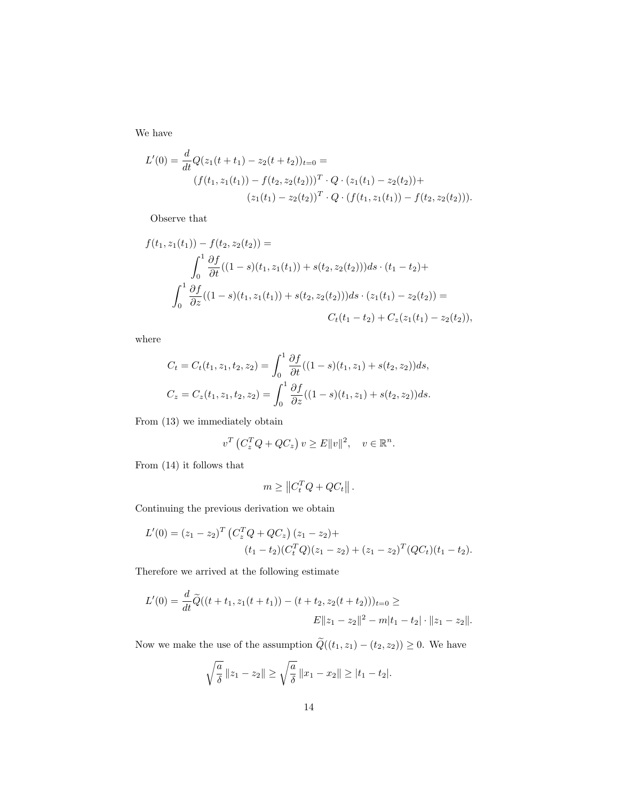We have

$$
L'(0) = \frac{d}{dt}Q(z_1(t+t_1) - z_2(t+t_2))_{t=0} =
$$
  

$$
(f(t_1, z_1(t_1)) - f(t_2, z_2(t_2)))^T \cdot Q \cdot (z_1(t_1) - z_2(t_2)) +
$$
  

$$
(z_1(t_1) - z_2(t_2))^T \cdot Q \cdot (f(t_1, z_1(t_1)) - f(t_2, z_2(t_2))).
$$

Observe that

$$
f(t_1, z_1(t_1)) - f(t_2, z_2(t_2)) =
$$
  

$$
\int_0^1 \frac{\partial f}{\partial t}((1 - s)(t_1, z_1(t_1)) + s(t_2, z_2(t_2)))ds \cdot (t_1 - t_2) +
$$
  

$$
\int_0^1 \frac{\partial f}{\partial z}((1 - s)(t_1, z_1(t_1)) + s(t_2, z_2(t_2)))ds \cdot (z_1(t_1) - z_2(t_2)) =
$$
  

$$
C_t(t_1 - t_2) + C_z(z_1(t_1) - z_2(t_2)),
$$

where

$$
C_t = C_t(t_1, z_1, t_2, z_2) = \int_0^1 \frac{\partial f}{\partial t}((1 - s)(t_1, z_1) + s(t_2, z_2))ds,
$$
  
\n
$$
C_z = C_z(t_1, z_1, t_2, z_2) = \int_0^1 \frac{\partial f}{\partial z}((1 - s)(t_1, z_1) + s(t_2, z_2))ds.
$$

From (13) we immediately obtain

$$
v^T\left(C_z^T Q + QC_z\right)v \ge E||v||^2, \quad v \in \mathbb{R}^n.
$$

From (14) it follows that

$$
m \geq \left\| C_t^T Q + Q C_t \right\|.
$$

Continuing the previous derivation we obtain

$$
L'(0) = (z_1 - z_2)^T \left( C_z^T Q + Q C_z \right) (z_1 - z_2) +
$$
  
\n
$$
(t_1 - t_2) (C_t^T Q)(z_1 - z_2) + (z_1 - z_2)^T (Q C_t)(t_1 - t_2).
$$

Therefore we arrived at the following estimate

$$
L'(0) = \frac{d}{dt}\widetilde{Q}((t+t_1, z_1(t+t_1)) - (t+t_2, z_2(t+t_2)))_{t=0} \ge
$$
  

$$
E||z_1 - z_2||^2 - m|t_1 - t_2| \cdot ||z_1 - z_2||.
$$

Now we make the use of the assumption  $\widetilde{Q}((t_1, z_1) - (t_2, z_2)) \geq 0$ . We have

$$
\sqrt{\frac{a}{\delta}} \|z_1 - z_2\| \ge \sqrt{\frac{a}{\delta}} \|x_1 - x_2\| \ge |t_1 - t_2|.
$$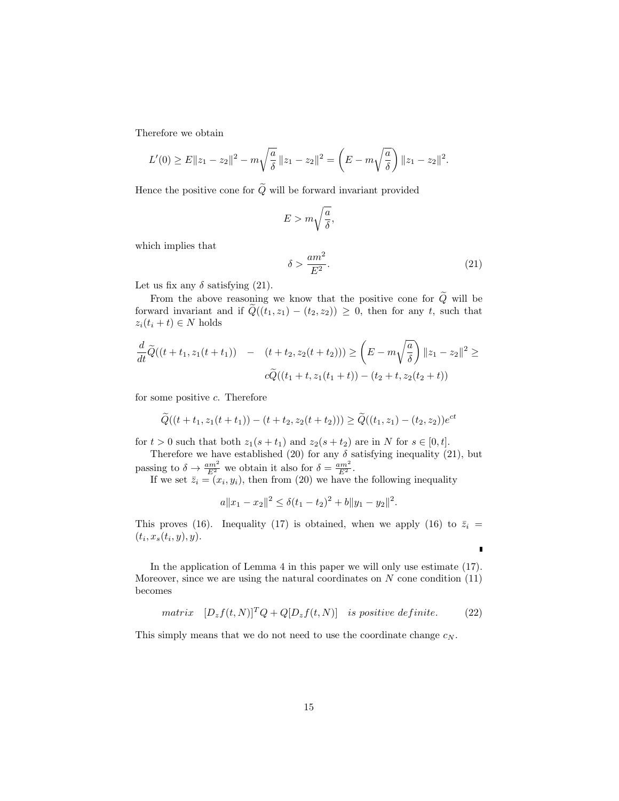Therefore we obtain

$$
L'(0) \ge E||z_1 - z_2||^2 - m\sqrt{\frac{a}{\delta}} ||z_1 - z_2||^2 = \left(E - m\sqrt{\frac{a}{\delta}}\right) ||z_1 - z_2||^2.
$$

Hence the positive cone for  $\widetilde{Q}$  will be forward invariant provided

$$
E > m\sqrt{\frac{a}{\delta}},
$$

which implies that

$$
\delta > \frac{am^2}{E^2}.\tag{21}
$$

r

Let us fix any  $\delta$  satisfying (21).

From the above reasoning we know that the positive cone for  $\widetilde{Q}$  will be forward invariant and if  $Q((t_1, z_1) - (t_2, z_2)) \geq 0$ , then for any t, such that  $z_i(t_i + t) \in N$  holds

$$
\frac{d}{dt}\widetilde{Q}((t+t_1, z_1(t+t_1)) - (t+t_2, z_2(t+t_2))) \ge \left(E - m\sqrt{\frac{a}{\delta}}\right) \|z_1 - z_2\|^2 \ge
$$
  

$$
c\widetilde{Q}((t_1+t, z_1(t_1+t)) - (t_2+t, z_2(t_2+t))
$$

for some positive  $c$ . Therefore

$$
\widetilde{Q}((t+t_1, z_1(t+t_1)) - (t+t_2, z_2(t+t_2))) \ge \widetilde{Q}((t_1, z_1) - (t_2, z_2))e^{ct}
$$

for  $t > 0$  such that both  $z_1(s + t_1)$  and  $z_2(s + t_2)$  are in N for  $s \in [0, t]$ .

Therefore we have established (20) for any  $\delta$  satisfying inequality (21), but passing to  $\delta \to \frac{am^2}{E^2}$  we obtain it also for  $\delta = \frac{am^2}{E^2}$ .

If we set  $\bar{z}_i = (x_i, y_i)$ , then from (20) we have the following inequality

$$
a||x_1 - x_2||^2 \le \delta(t_1 - t_2)^2 + b||y_1 - y_2||^2.
$$

This proves (16). Inequality (17) is obtained, when we apply (16) to  $\bar{z}_i$  =  $(t_i, x_s(t_i, y), y).$ 

In the application of Lemma 4 in this paper we will only use estimate (17). Moreover, since we are using the natural coordinates on  $N$  cone condition  $(11)$ becomes

$$
matrix \ [D_z f(t,N)]^T Q + Q[D_z f(t,N)] \ \ is \ positive \ definite. \tag{22}
$$

This simply means that we do not need to use the coordinate change  $c_N$ .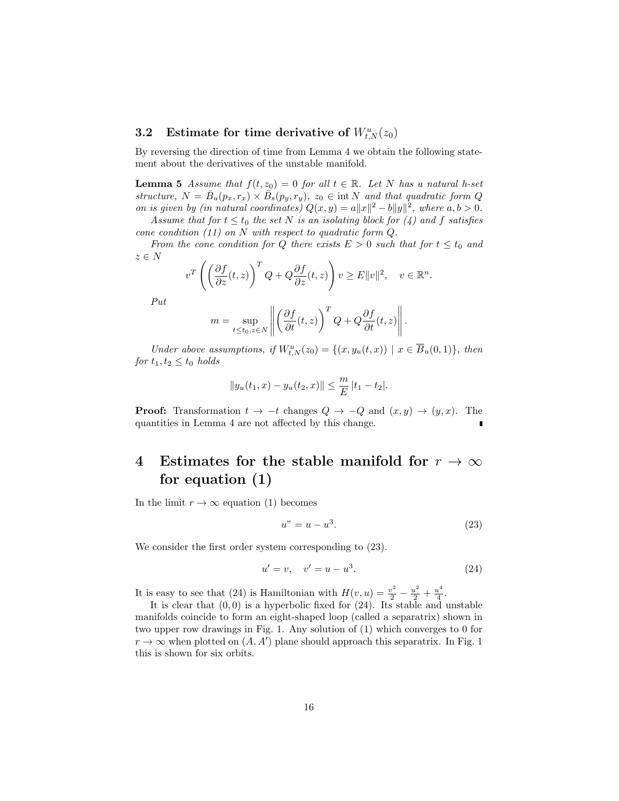## **3.2** Estimate for time derivative of  $W_{t,N}^u(z_0)$

By reversing the direction of time from Lemma 4 we obtain the following statement about the derivatives of the unstable manifold.

**Lemma 5** Assume that  $f(t, z_0) = 0$  for all  $t \in \mathbb{R}$ . Let N has a natural h-set structure,  $N = \bar{B}_u(p_x, r_x) \times \bar{B}_s(p_y, r_y)$ ,  $z_0 \in \text{int } N$  and that quadratic form Q on is given by (in natural coordinates)  $Q(x, y) = a||x||^2 - b||y||^2$ , where  $a, b > 0$ .

Assume that for  $t \leq t_0$  the set N is an isolating block for (4) and f satisfies cone condition  $(11)$  on N with respect to quadratic form Q.

From the cone condition for Q there exists  $E > 0$  such that for  $t \le t_0$  and  $z \in N$ 

$$
v^T \left( \left( \frac{\partial f}{\partial z}(t, z) \right)^T Q + Q \frac{\partial f}{\partial z}(t, z) \right) v \ge E ||v||^2, \quad v \in \mathbb{R}^n.
$$

Put

$$
m = \sup_{t \le t_0, z \in N} \left\| \left( \frac{\partial f}{\partial t}(t, z) \right)^T Q + Q \frac{\partial f}{\partial t}(t, z) \right\|.
$$

Under above assumptions, if  $W^u_{t,N}(z_0) = \{(x,y_u(t,x)) \mid x \in \overline{B}_u(0,1)\},\$  then for  $t_1, t_2 \leq t_0$  holds

$$
||y_u(t_1, x) - y_u(t_2, x)|| \le \frac{m}{E} |t_1 - t_2|.
$$

**Proof:** Transformation  $t \to -t$  changes  $Q \to -Q$  and  $(x, y) \to (y, x)$ . The quantities in Lemma 4 are not affected by this change.

## 4 Estimates for the stable manifold for  $r \to \infty$ for equation (1)

In the limit  $r \to \infty$  equation (1) becomes

$$
u'' = u - u^3. \tag{23}
$$

We consider the first order system corresponding to  $(23)$ .

$$
u' = v, \quad v' = u - u^3. \tag{24}
$$

It is easy to see that (24) is Hamiltonian with  $H(v, u) = \frac{v^2}{2} - \frac{u^2}{2} + \frac{u^4}{4}$  $rac{1}{4}$ .

It is clear that  $(0, 0)$  is a hyperbolic fixed for  $(24)$ . Its stable and unstable manifolds coincide to form an eight-shaped loop (called a separatrix) shown in two upper row drawings in Fig. 1. Any solution of (1) which converges to 0 for  $r \to \infty$  when plotted on  $(A, A')$  plane should approach this separatrix. In Fig. 1 this is shown for six orbits.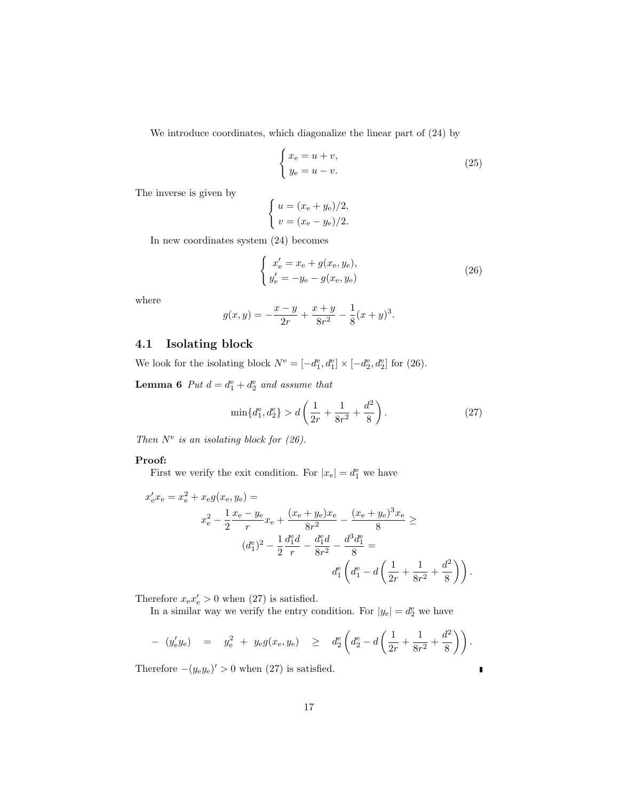We introduce coordinates, which diagonalize the linear part of (24) by

$$
\begin{cases}\nx_{\rm e} = u + v, \\
y_{\rm e} = u - v.\n\end{cases}
$$
\n(25)

The inverse is given by

$$
\begin{cases}\n u = (x_{\rm e} + y_{\rm e})/2, \\
 v = (x_{\rm e} - y_{\rm e})/2.\n\end{cases}
$$

In new coordinates system (24) becomes

$$
\begin{cases}\nx'_{\rm e} = x_{\rm e} + g(x_{\rm e}, y_{\rm e}), \\
y'_{\rm e} = -y_{\rm e} - g(x_{\rm e}, y_{\rm e})\n\end{cases} \tag{26}
$$

where

$$
g(x,y) = -\frac{x-y}{2r} + \frac{x+y}{8r^2} - \frac{1}{8}(x+y)^3.
$$

## 4.1 Isolating block

We look for the isolating block  $N^e = [-d_1^e, d_1^e] \times [-d_2^e, d_2^e]$  for (26).

**Lemma 6** Put  $d = d_1^e + d_2^e$  and assume that

$$
\min\{d_1^e, d_2^e\} > d\left(\frac{1}{2r} + \frac{1}{8r^2} + \frac{d^2}{8}\right). \tag{27}
$$

Then  $N^e$  is an isolating block for (26).

#### Proof:

First we verify the exit condition. For  $|x_e| = d_1^e$  we have

$$
x'_{e}x_{e} = x_{e}^{2} + x_{e}g(x_{e}, y_{e}) =
$$
  

$$
x_{e}^{2} - \frac{1}{2}\frac{x_{e} - y_{e}}{r}x_{e} + \frac{(x_{e} + y_{e})x_{e}}{8r^{2}} - \frac{(x_{e} + y_{e})^{3}x_{e}}{8}
$$
  

$$
(d_{1}^{e})^{2} - \frac{1}{2}\frac{d_{1}^{e}d}{r} - \frac{d_{1}^{e}d}{8r^{2}} - \frac{d^{3}d_{1}^{e}}{8}
$$
  

$$
d_{1}^{e}\left(d_{1}^{e} - d\left(\frac{1}{2r} + \frac{1}{8r^{2}} + \frac{d^{2}}{8}\right)\right).
$$

Therefore  $x_{e}x'_{e} > 0$  when (27) is satisfied.

In a similar way we verify the entry condition. For  $|y_e| = d_2^e$  we have

$$
- (y'_{e}y_{e}) = y_{e}^{2} + y_{e}g(x_{e}, y_{e}) \geq d_{2}^{e}\left(d_{2}^{e} - d\left(\frac{1}{2r} + \frac{1}{8r^{2}} + \frac{d^{2}}{8}\right)\right).
$$

Therefore  $-(y_e y_e)' > 0$  when (27) is satisfied.

 $\blacksquare$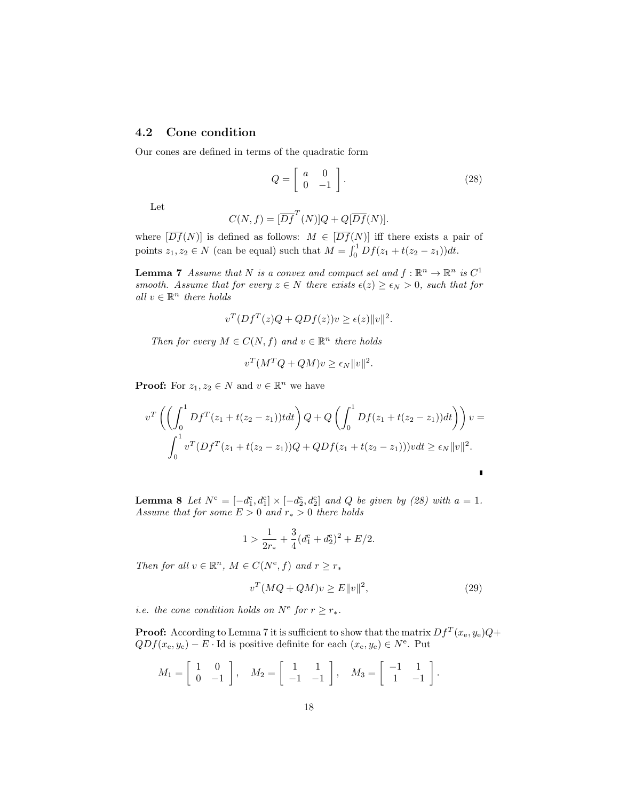### 4.2 Cone condition

Our cones are defined in terms of the quadratic form

$$
Q = \left[ \begin{array}{cc} a & 0 \\ 0 & -1 \end{array} \right].\tag{28}
$$

Let

$$
C(N, f) = [\overline{D} \overline{f}^T(N)]Q + Q[\overline{D} \overline{f}(N)].
$$

where  $[\overline{Df}(N)]$  is defined as follows:  $M \in [\overline{Df}(N)]$  iff there exists a pair of points  $z_1, z_2 \in N$  (can be equal) such that  $M = \int_0^1 Df(z_1 + t(z_2 - z_1))dt$ .

**Lemma 7** Assume that N is a convex and compact set and  $f : \mathbb{R}^n \to \mathbb{R}^n$  is  $C^1$ smooth. Assume that for every  $z \in N$  there exists  $\epsilon(z) \geq \epsilon_N > 0$ , such that for all  $v \in \mathbb{R}^n$  there holds

$$
v^T (Df^T(z)Q + QDf(z))v \ge \epsilon(z) ||v||^2.
$$

Then for every  $M \in C(N, f)$  and  $v \in \mathbb{R}^n$  there holds

$$
v^T(M^TQ + QM)v \ge \epsilon_N ||v||^2.
$$

**Proof:** For  $z_1, z_2 \in N$  and  $v \in \mathbb{R}^n$  we have

$$
v^T \left( \left( \int_0^1 Df^T (z_1 + t(z_2 - z_1)) t dt \right) Q + Q \left( \int_0^1 Df(z_1 + t(z_2 - z_1)) dt \right) \right) v =
$$
  

$$
\int_0^1 v^T (Df^T (z_1 + t(z_2 - z_1)) Q + QDf(z_1 + t(z_2 - z_1))) v dt \ge \epsilon_N ||v||^2.
$$

**Lemma 8** Let  $N^e = [-d_1^e, d_1^e] \times [-d_2^e, d_2^e]$  and Q be given by (28) with  $a = 1$ . Assume that for some  $E > 0$  and  $r_* > 0$  there holds

$$
1 > \frac{1}{2r_*} + \frac{3}{4}(d_1^{\text{e}} + d_2^{\text{e}})^2 + E/2.
$$

Then for all  $v \in \mathbb{R}^n$ ,  $M \in C(N^e, f)$  and  $r \ge r_*$ 

$$
v^T(MQ + QM)v \ge E||v||^2,\tag{29}
$$

*i.e.* the cone condition holds on  $N^e$  for  $r \geq r_*$ .

**Proof:** According to Lemma 7 it is sufficient to show that the matrix  $Df^{T}(x_e, y_e)Q+$  $QDf(x_e, y_e) - E \cdot \text{Id}$  is positive definite for each  $(x_e, y_e) \in N^e$ . Put

$$
M_1 = \begin{bmatrix} 1 & 0 \\ 0 & -1 \end{bmatrix}, \quad M_2 = \begin{bmatrix} 1 & 1 \\ -1 & -1 \end{bmatrix}, \quad M_3 = \begin{bmatrix} -1 & 1 \\ 1 & -1 \end{bmatrix}.
$$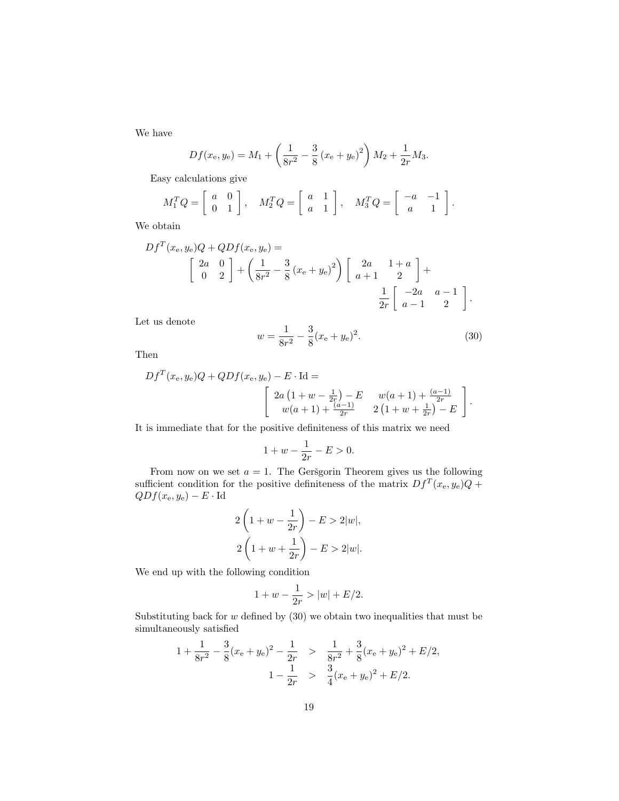We have

$$
Df(x_{e}, y_{e}) = M_{1} + \left(\frac{1}{8r^{2}} - \frac{3}{8}(x_{e} + y_{e})^{2}\right)M_{2} + \frac{1}{2r}M_{3}.
$$

Easy calculations give

$$
M_1^T Q = \left[ \begin{array}{cc} a & 0 \\ 0 & 1 \end{array} \right], \quad M_2^T Q = \left[ \begin{array}{cc} a & 1 \\ a & 1 \end{array} \right], \quad M_3^T Q = \left[ \begin{array}{cc} -a & -1 \\ a & 1 \end{array} \right].
$$

We obtain

$$
Df^{T}(x_{e}, y_{e})Q + QDf(x_{e}, y_{e}) =
$$
\n
$$
\begin{bmatrix} 2a & 0 \ 0 & 2 \end{bmatrix} + \left(\frac{1}{8r^{2}} - \frac{3}{8}(x_{e} + y_{e})^{2}\right) \begin{bmatrix} 2a & 1+a \ a+1 & 2 \end{bmatrix} +
$$
\n
$$
\frac{1}{2r} \begin{bmatrix} -2a & a-1 \ a-1 & 2 \end{bmatrix}.
$$

Let us denote

$$
w = \frac{1}{8r^2} - \frac{3}{8}(x_e + y_e)^2.
$$
 (30)

Then

$$
Df^{T}(x_{e}, y_{e})Q + QDf(x_{e}, y_{e}) - E \cdot Id =
$$
\n
$$
\begin{bmatrix}\n2a(1 + w - \frac{1}{2r}) - E & w(a + 1) + \frac{(a - 1)}{2r} \\
w(a + 1) + \frac{(a - 1)}{2r} & 2(1 + w + \frac{1}{2r}) - E\n\end{bmatrix}.
$$

It is immediate that for the positive definiteness of this matrix we need

$$
1 + w - \frac{1}{2r} - E > 0.
$$

From now on we set  $a = 1$ . The Gersgorin Theorem gives us the following sufficient condition for the positive definiteness of the matrix  $Df^{T}(x_{e}, y_{e})Q +$  $QDf(x_e, y_e) - E \cdot Id$ 

$$
2\left(1+w-\frac{1}{2r}\right)-E>2|w|,
$$
  

$$
2\left(1+w+\frac{1}{2r}\right)-E>2|w|.
$$

We end up with the following condition

$$
1 + w - \frac{1}{2r} > |w| + E/2.
$$

Substituting back for  $w$  defined by  $(30)$  we obtain two inequalities that must be simultaneously satisfied

$$
1 + \frac{1}{8r^2} - \frac{3}{8}(x_e + y_e)^2 - \frac{1}{2r} > \frac{1}{8r^2} + \frac{3}{8}(x_e + y_e)^2 + E/2,
$$
  

$$
1 - \frac{1}{2r} > \frac{3}{4}(x_e + y_e)^2 + E/2.
$$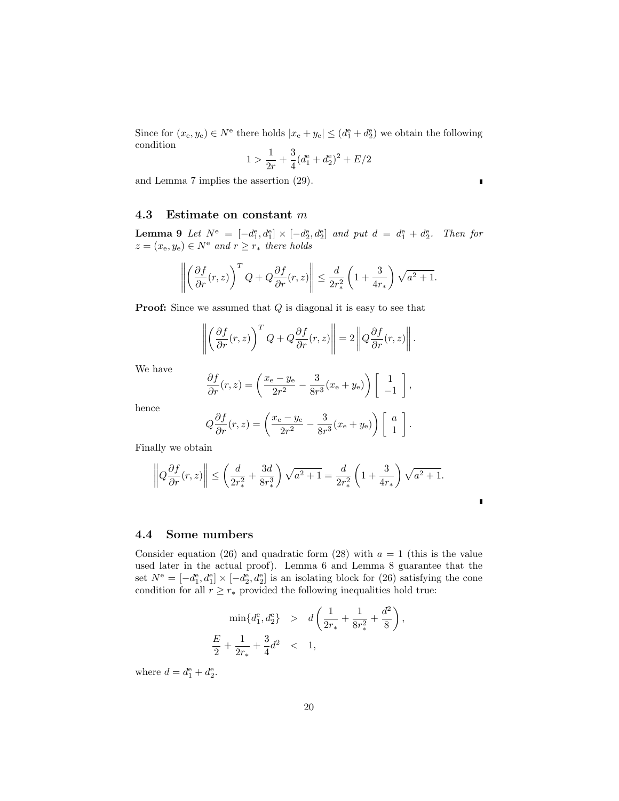Since for  $(x_e, y_e) \in N^e$  there holds  $|x_e + y_e| \leq (d_1^e + d_2^e)$  we obtain the following condition

$$
1 > \frac{1}{2r} + \frac{3}{4}(d_1^e + d_2^e)^2 + E/2
$$

and Lemma 7 implies the assertion (29).

#### 4.3 Estimate on constant m

**Lemma 9** Let  $N^e = [-d_1^e, d_1^e] \times [-d_2^e, d_2^e]$  and put  $d = d_1^e + d_2^e$ . Then for  $z = (x_e, y_e) \in N^e$  and  $r \ge r_*$  there holds

$$
\left\| \left( \frac{\partial f}{\partial r}(r, z) \right)^T Q + Q \frac{\partial f}{\partial r}(r, z) \right\| \le \frac{d}{2r_*^2} \left( 1 + \frac{3}{4r_*} \right) \sqrt{a^2 + 1}.
$$

**Proof:** Since we assumed that  $Q$  is diagonal it is easy to see that

$$
\left\| \left( \frac{\partial f}{\partial r}(r, z) \right)^T Q + Q \frac{\partial f}{\partial r}(r, z) \right\| = 2 \left\| Q \frac{\partial f}{\partial r}(r, z) \right\|.
$$

We have

$$
\frac{\partial f}{\partial r}(r,z) = \left(\frac{x_e - y_e}{2r^2} - \frac{3}{8r^3}(x_e + y_e)\right) \begin{bmatrix} 1 \\ -1 \end{bmatrix},
$$

hence

$$
Q\frac{\partial f}{\partial r}(r,z) = \left(\frac{x_e - y_e}{2r^2} - \frac{3}{8r^3}(x_e + y_e)\right)\begin{bmatrix} a \\ 1 \end{bmatrix}.
$$

Finally we obtain

$$
\left\|Q\frac{\partial f}{\partial r}(r,z)\right\| \le \left(\frac{d}{2r_*^2} + \frac{3d}{8r_*^3}\right)\sqrt{a^2 + 1} = \frac{d}{2r_*^2}\left(1 + \frac{3}{4r_*}\right)\sqrt{a^2 + 1}.
$$

#### 4.4 Some numbers

Consider equation (26) and quadratic form (28) with  $a = 1$  (this is the value used later in the actual proof). Lemma 6 and Lemma 8 guarantee that the set  $N^e = [-d_1^e, d_1^e] \times [-d_2^e, d_2^e]$  is an isolating block for (26) satisfying the cone condition for all  $r \geq r_*$  provided the following inequalities hold true:

$$
\min\{d_1^e, d_2^e\} > d\left(\frac{1}{2r_*} + \frac{1}{8r_*^2} + \frac{d^2}{8}\right),
$$
  

$$
\frac{E}{2} + \frac{1}{2r_*} + \frac{3}{4}d^2 < 1,
$$

where  $d = d_1^e + d_2^e$ .

 $\blacksquare$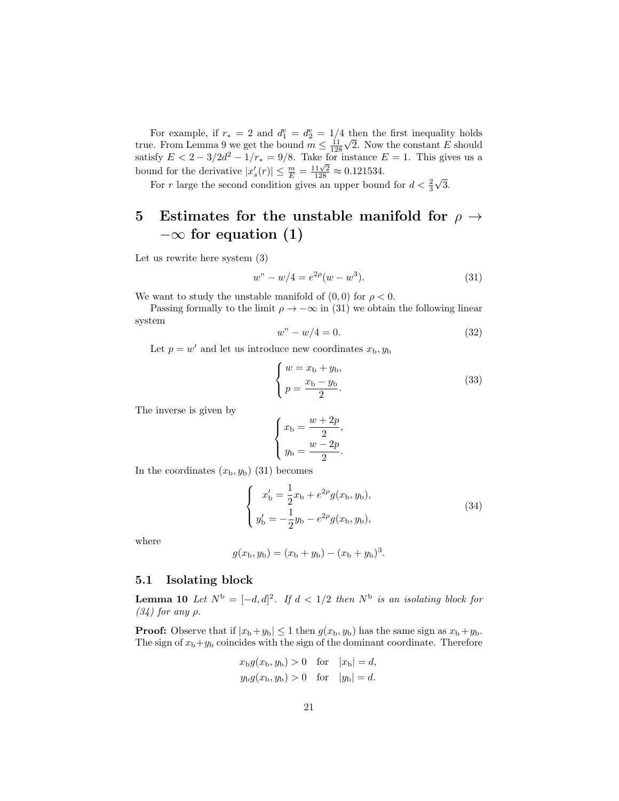For example, if  $r_* = 2$  and  $d_1^e = d_2^e = 1/4$  then the first inequality holds true. From Lemma 9 we get the bound  $m \leq \frac{11}{128}$ √ 2. Now the constant E should satisfy  $E < 2 - 3/2d^2 - 1/r_* = 9/8$ . Take for instance  $E = 1$ . This gives us a bound for the derivative  $|x'_{s}(r)| \leq \frac{m}{E} = \frac{11\sqrt{2}}{128} \approx 0.121534$ . √

For r large the second condition gives an upper bound for  $d < \frac{2}{3}$ 3.

## 5 Estimates for the unstable manifold for  $\rho \rightarrow$  $-\infty$  for equation (1)

Let us rewrite here system (3)

$$
w'' - w/4 = e^{2\rho}(w - w^3).
$$
 (31)

We want to study the unstable manifold of  $(0,0)$  for  $\rho < 0$ .

Passing formally to the limit  $\rho \to -\infty$  in (31) we obtain the following linear system

$$
w'' - w/4 = 0.\t\t(32)
$$

Let  $p = w'$  and let us introduce new coordinates  $x<sub>b</sub>, y<sub>b</sub>$ 

$$
\begin{cases}\nw = x_{\rm b} + y_{\rm b}, \\
p = \frac{x_{\rm b} - y_{\rm b}}{2}.\n\end{cases}
$$
\n(33)

The inverse is given by

$$
\begin{cases}\nx_{\mathrm{b}} = \frac{w + 2p}{2} \\
y_{\mathrm{b}} = \frac{w - 2p}{2}\n\end{cases}
$$

,

.

In the coordinates  $(x_b, y_b)$  (31) becomes

$$
\begin{cases}\nx'_{\text{b}} = \frac{1}{2}x_{\text{b}} + e^{2\rho}g(x_{\text{b}}, y_{\text{b}}),\ny'_{\text{b}} = -\frac{1}{2}y_{\text{b}} - e^{2\rho}g(x_{\text{b}}, y_{\text{b}}),\n\end{cases}
$$
\n(34)

where

$$
g(x_{\rm b}, y_{\rm b}) = (x_{\rm b} + y_{\rm b}) - (x_{\rm b} + y_{\rm b})^3.
$$

#### 5.1 Isolating block

**Lemma 10** Let  $N^{\text{b}} = [-d, d]^2$ . If  $d < 1/2$  then  $N^{\text{b}}$  is an isolating block for  $(34)$  for any  $\rho$ .

**Proof:** Observe that if  $|x_b+y_b| \leq 1$  then  $g(x_b, y_b)$  has the same sign as  $x_b+y_b$ . The sign of  $x_b+y_b$  coincides with the sign of the dominant coordinate. Therefore

$$
x_{\text{b}}g(x_{\text{b}}, y_{\text{b}}) > 0
$$
 for  $|x_{\text{b}}| = d$ ,  
\n $y_{\text{b}}g(x_{\text{b}}, y_{\text{b}}) > 0$  for  $|y_{\text{b}}| = d$ .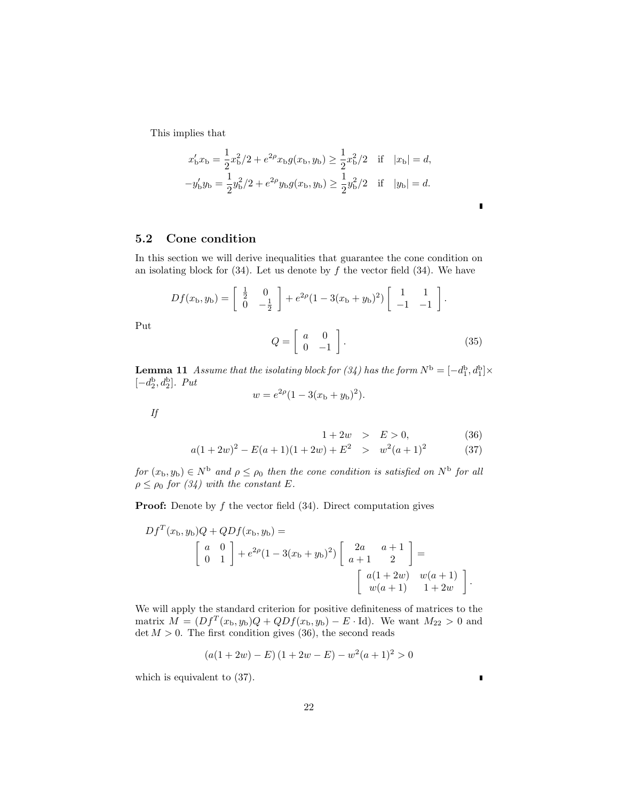This implies that

$$
x'_{\rm b}x_{\rm b} = \frac{1}{2}x_{\rm b}^2/2 + e^{2\rho}x_{\rm b}g(x_{\rm b}, y_{\rm b}) \ge \frac{1}{2}x_{\rm b}^2/2 \quad \text{if} \quad |x_{\rm b}| = d,
$$
  

$$
-y'_{\rm b}y_{\rm b} = \frac{1}{2}y_{\rm b}^2/2 + e^{2\rho}y_{\rm b}g(x_{\rm b}, y_{\rm b}) \ge \frac{1}{2}y_{\rm b}^2/2 \quad \text{if} \quad |y_{\rm b}| = d.
$$

5.2 Cone condition

In this section we will derive inequalities that guarantee the cone condition on an isolating block for  $(34)$ . Let us denote by f the vector field  $(34)$ . We have

$$
Df(x_{b}, y_{b}) = \begin{bmatrix} \frac{1}{2} & 0\\ 0 & -\frac{1}{2} \end{bmatrix} + e^{2\rho}(1 - 3(x_{b} + y_{b})^{2}) \begin{bmatrix} 1 & 1\\ -1 & -1 \end{bmatrix}.
$$
  

$$
Q = \begin{bmatrix} a & 0\\ 0 & -1 \end{bmatrix}.
$$
 (35)

**Lemma 11** Assume that the isolating block for (34) has the form  $N^{\rm b} = [-d_1^{\rm b}, d_1^{\rm b}] \times$  $[-d_2^{\rm b}, d_2^{\rm b}]$ . Put

$$
w = e^{2\rho}(1 - 3(x_{\rm b} + y_{\rm b})^2).
$$

If

Put

$$
1 + 2w > E > 0,
$$
\n
$$
(36)
$$

$$
a(1+2w)^2 - E(a+1)(1+2w) + E^2 > w^2(a+1)^2
$$
 (37)

for  $(x_b, y_b) \in N^b$  and  $\rho \leq \rho_0$  then the cone condition is satisfied on  $N^b$  for all  $\rho \leq \rho_0$  for (34) with the constant E.

**Proof:** Denote by  $f$  the vector field  $(34)$ . Direct computation gives

$$
Df^{T}(x_{b}, y_{b})Q + QDf(x_{b}, y_{b}) =
$$
\n
$$
\begin{bmatrix} a & 0 \ 0 & 1 \end{bmatrix} + e^{2\rho}(1 - 3(x_{b} + y_{b}))^{2}) \begin{bmatrix} 2a & a+1 \ a+1 & 2 \end{bmatrix} =
$$
\n
$$
\begin{bmatrix} a(1+2w) & w(a+1) \ w(a+1) & 1+2w \end{bmatrix}.
$$

We will apply the standard criterion for positive definiteness of matrices to the matrix  $M = (Df^T(x_b, y_b)Q + QDf(x_b, y_b) - E \cdot Id)$ . We want  $M_{22} > 0$  and  $\det M > 0$ . The first condition gives (36), the second reads

$$
(a(1+2w) – E) (1 + 2w – E) – w2(a + 1)2 > 0
$$

which is equivalent to (37).

ī

Ī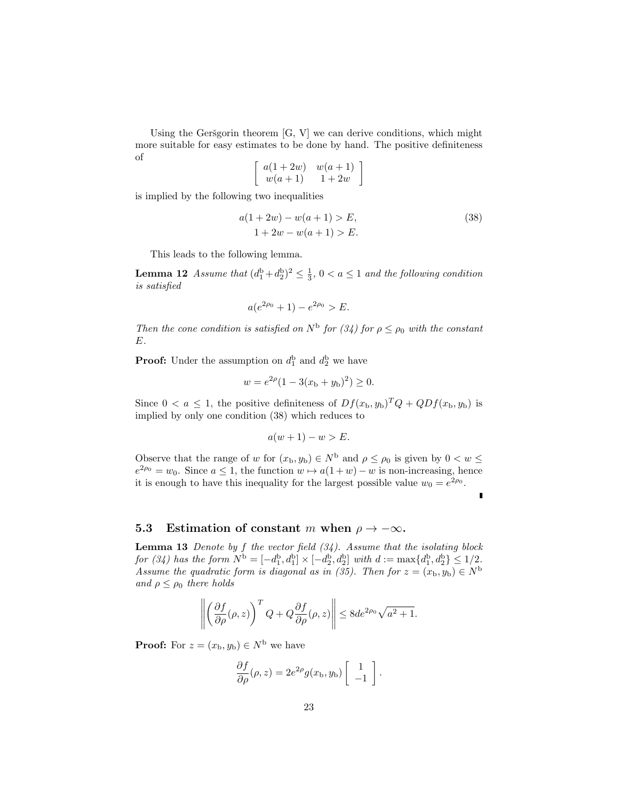Using the Geršgorin theorem  $[G, V]$  we can derive conditions, which might more suitable for easy estimates to be done by hand. The positive definiteness of

$$
\left[\begin{array}{cc}a(1+2w)&w(a+1)\\w(a+1)&1+2w\end{array}\right]
$$

is implied by the following two inequalities

$$
a(1+2w) - w(a+1) > E,
$$
  
1+2w-w(a+1) > E. (38)

This leads to the following lemma.

**Lemma 12** Assume that  $(d_1^b + d_2^b)^2 \leq \frac{1}{3}$ ,  $0 < a \leq 1$  and the following condition is satisfied

$$
a(e^{2\rho_0} + 1) - e^{2\rho_0} > E.
$$

Then the cone condition is satisfied on  $N^{\text{b}}$  for  $(34)$  for  $\rho \leq \rho_0$  with the constant E.

**Proof:** Under the assumption on  $d_1^b$  and  $d_2^b$  we have

$$
w = e^{2\rho}(1 - 3(x_{\rm b} + y_{\rm b})^2) \ge 0.
$$

Since  $0 < a \leq 1$ , the positive definiteness of  $Df(x_b, y_b)^T Q + QDf(x_b, y_b)$  is implied by only one condition (38) which reduces to

$$
a(w+1) - w > E.
$$

Observe that the range of w for  $(x_b, y_b) \in N^b$  and  $\rho \le \rho_0$  is given by  $0 < w \le$  $e^{2\rho_0} = w_0$ . Since  $a \le 1$ , the function  $w \mapsto a(1+w) - w$  is non-increasing, hence it is enough to have this inequality for the largest possible value  $w_0 = e^{2\rho_0}$ .

### 5.3 Estimation of constant m when  $\rho \rightarrow -\infty$ .

**Lemma 13** Denote by f the vector field  $(34)$ . Assume that the isolating block for (34) has the form  $N^{\rm b} = [-d_1^{\rm b}, d_1^{\rm b}] \times [-d_2^{\rm b}, d_2^{\rm b}]$  with  $d := \max\{d_1^{\rm b}, d_2^{\rm b}\} \le 1/2$ . Assume the quadratic form is diagonal as in (35). Then for  $z = (x_{\rm b}, y_{\rm b}) \in N^{\rm b}$ and  $\rho \leq \rho_0$  there holds

$$
\left\| \left( \frac{\partial f}{\partial \rho}(\rho, z) \right)^T Q + Q \frac{\partial f}{\partial \rho}(\rho, z) \right\| \le 8d e^{2\rho_0} \sqrt{a^2 + 1}.
$$

**Proof:** For  $z = (x_{\text{b}}, y_{\text{b}}) \in N^{\text{b}}$  we have

$$
\frac{\partial f}{\partial \rho}(\rho, z) = 2e^{2\rho}g(x_{\rm b}, y_{\rm b})\begin{bmatrix} 1 \\ -1 \end{bmatrix}.
$$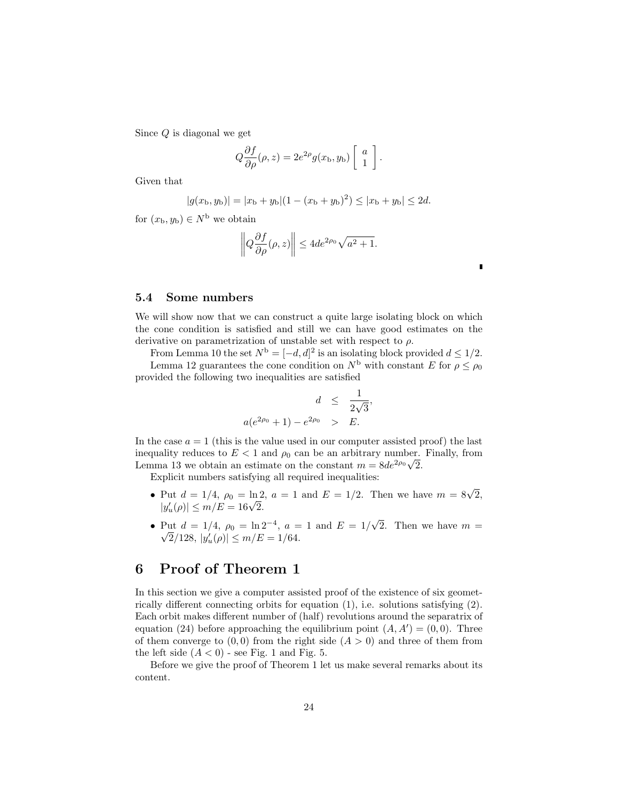Since Q is diagonal we get

$$
Q\frac{\partial f}{\partial \rho}(\rho, z) = 2e^{2\rho}g(x_{\rm b}, y_{\rm b})\left[\begin{array}{c} a \\ 1 \end{array}\right].
$$

Given that

$$
|g(x_{\rm b}, y_{\rm b})| = |x_{\rm b} + y_{\rm b}|(1 - (x_{\rm b} + y_{\rm b})^2) \le |x_{\rm b} + y_{\rm b}| \le 2d.
$$

for  $(x_{\rm b}, y_{\rm b}) \in N^{\rm b}$  we obtain

$$
\left\|Q\frac{\partial f}{\partial \rho}(\rho, z)\right\| \le 4de^{2\rho_0}\sqrt{a^2 + 1}.
$$

#### 5.4 Some numbers

We will show now that we can construct a quite large isolating block on which the cone condition is satisfied and still we can have good estimates on the derivative on parametrization of unstable set with respect to  $\rho$ .

From Lemma 10 the set  $N^{\mathrm{b}} = [-d, d]^2$  is an isolating block provided  $d \leq 1/2$ .

Lemma 12 guarantees the cone condition on  $N^{\rm b}$  with constant E for  $\rho \leq \rho_0$ provided the following two inequalities are satisfied

$$
d \le \frac{1}{2\sqrt{3}}
$$
  

$$
a(e^{2\rho_0} + 1) - e^{2\rho_0} > E.
$$

,

In the case  $a = 1$  (this is the value used in our computer assisted proof) the last inequality reduces to  $E < 1$  and  $\rho_0$  can be an arbitrary number. Finally, from Lemma 13 we obtain an estimate on the constant  $m = 8de^{2\rho_0}\sqrt{2}$ .

Explicit numbers satisfying all required inequalities:

- Put  $d = 1/4$ ,  $\rho_0 = \ln 2$ ,  $a = 1$  and  $E = 1/2$ . Then we have  $m = 8\sqrt{2}$ , Put  $a = 1/4$ ,  $\rho_0 = \ln 2$ <br> $|y'_u(\rho)| \le m/E = 16\sqrt{2}$ .
- Put  $d = 1/4$ ,  $\rho_0 = \ln 2^{-4}$ ,  $a = 1$  and  $E = 1/4$ √ Put  $d = 1/4$ ,  $\rho_0 = \ln 2^{-4}$ ,  $a = 1$  and  $E = 1/\sqrt{2}$ . Then we have  $m = \sqrt{2}$ .  $\overline{2}/128, |y_u'(\rho)| \le m/E = 1/64.$

## 6 Proof of Theorem 1

In this section we give a computer assisted proof of the existence of six geometrically different connecting orbits for equation (1), i.e. solutions satisfying (2). Each orbit makes different number of (half) revolutions around the separatrix of equation (24) before approaching the equilibrium point  $(A, A') = (0, 0)$ . Three of them converge to  $(0, 0)$  from the right side  $(A > 0)$  and three of them from the left side  $(A < 0)$  - see Fig. 1 and Fig. 5.

Before we give the proof of Theorem 1 let us make several remarks about its content.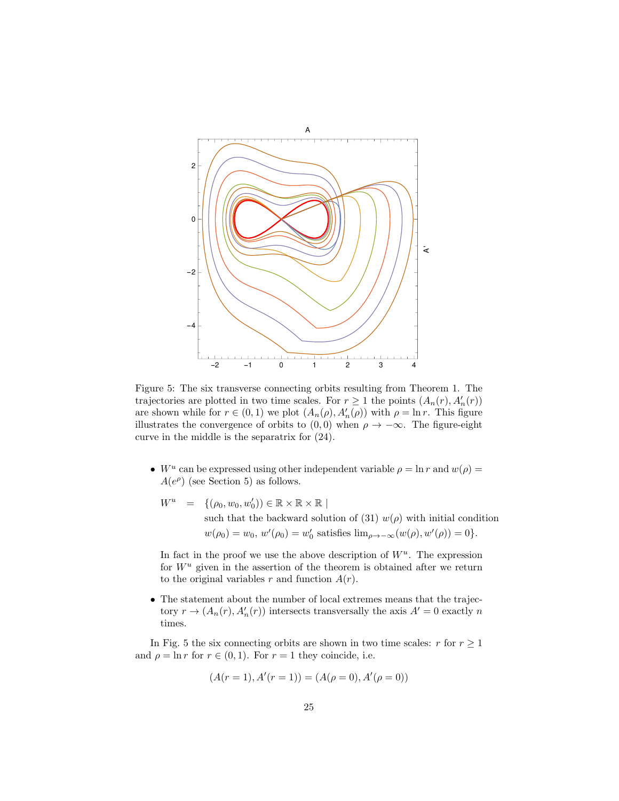

Figure 5: The six transverse connecting orbits resulting from Theorem 1. The trajectories are plotted in two time scales. For  $r \ge 1$  the points  $(A_n(r), A'_n(r))$ are shown while for  $r \in (0,1)$  we plot  $(A_n(\rho), A'_n(\rho))$  with  $\rho = \ln r$ . This figure illustrates the convergence of orbits to  $(0,0)$  when  $\rho \to -\infty$ . The figure-eight curve in the middle is the separatrix for (24).

- W<sup>u</sup> can be expressed using other independent variable  $\rho = \ln r$  and  $w(\rho) =$  $A(e^{\rho})$  (see Section 5) as follows.
	- $W^u = \{(\rho_0, w_0, w'_0) \in \mathbb{R} \times \mathbb{R} \times \mathbb{R} \mid$ such that the backward solution of (31)  $w(\rho)$  with initial condition  $w(\rho_0) = w_0, w'(\rho_0) = w'_0$  satisfies  $\lim_{\rho \to -\infty} (w(\rho), w'(\rho)) = 0$ .

In fact in the proof we use the above description of  $W^u$ . The expression for  $W^u$  given in the assertion of the theorem is obtained after we return to the original variables r and function  $A(r)$ .

• The statement about the number of local extremes means that the trajectory  $r \to (A_n(r), A'_n(r))$  intersects transversally the axis  $A' = 0$  exactly n times.

In Fig. 5 the six connecting orbits are shown in two time scales: r for  $r \geq 1$ and  $\rho = \ln r$  for  $r \in (0, 1)$ . For  $r = 1$  they coincide, i.e.

$$
(A(r = 1), A'(r = 1)) = (A(\rho = 0), A'(\rho = 0))
$$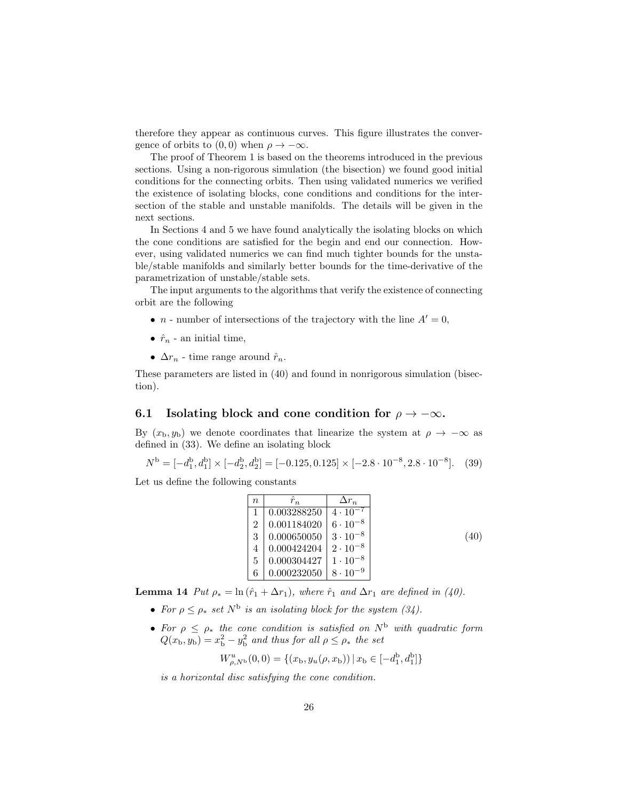therefore they appear as continuous curves. This figure illustrates the convergence of orbits to  $(0, 0)$  when  $\rho \to -\infty$ .

The proof of Theorem 1 is based on the theorems introduced in the previous sections. Using a non-rigorous simulation (the bisection) we found good initial conditions for the connecting orbits. Then using validated numerics we verified the existence of isolating blocks, cone conditions and conditions for the intersection of the stable and unstable manifolds. The details will be given in the next sections.

In Sections 4 and 5 we have found analytically the isolating blocks on which the cone conditions are satisfied for the begin and end our connection. However, using validated numerics we can find much tighter bounds for the unstable/stable manifolds and similarly better bounds for the time-derivative of the parametrization of unstable/stable sets.

The input arguments to the algorithms that verify the existence of connecting orbit are the following

- *n* number of intersections of the trajectory with the line  $A' = 0$ ,
- $\hat{r}_n$  an initial time,
- $\Delta r_n$  time range around  $\hat{r}_n$ .

These parameters are listed in (40) and found in nonrigorous simulation (bisection).

### 6.1 Isolating block and cone condition for  $\rho \to -\infty$ .

By  $(x_b, y_b)$  we denote coordinates that linearize the system at  $\rho \to -\infty$  as defined in (33). We define an isolating block

$$
N^{\rm b} = [-d_1^{\rm b}, d_1^{\rm b}] \times [-d_2^{\rm b}, d_2^{\rm b}] = [-0.125, 0.125] \times [-2.8 \cdot 10^{-8}, 2.8 \cdot 10^{-8}]. \tag{39}
$$

Let us define the following constants

| $\boldsymbol{n}$ | $\hat r_n$  | $\Delta r_n$      |      |
|------------------|-------------|-------------------|------|
|                  | 0.003288250 | $4 \cdot 10^{-7}$ |      |
| $\overline{2}$   | 0.001184020 | $6 \cdot 10^{-8}$ |      |
| 3                | 0.000650050 | $3 \cdot 10^{-8}$ | (40) |
|                  | 0.000424204 | $2 \cdot 10^{-8}$ |      |
| 5                | 0.000304427 | $1 \cdot 10^{-8}$ |      |
|                  | 0.000232050 | $8 \cdot 10^{-9}$ |      |

**Lemma 14** Put  $\rho_* = \ln(\hat{r}_1 + \Delta r_1)$ , where  $\hat{r}_1$  and  $\Delta r_1$  are defined in (40).

- For  $\rho \leq \rho_*$  set  $N^{\rm b}$  is an isolating block for the system (34).
- For  $\rho \leq \rho_*$  the cone condition is satisfied on  $N^{\rm b}$  with quadratic form  $Q(x_{\rm b}, y_{\rm b}) = x_{\rm b}^2 - y_{\rm b}^2$  and thus for all  $\rho \leq \rho_*$  the set

$$
W_{\rho, N^{\mathrm{b}}}^{u}(0,0) = \{(x_{\mathrm{b}}, y_{u}(\rho, x_{\mathrm{b}})) \,|\, x_{\mathrm{b}} \in [-d_{1}^{\mathrm{b}}, d_{1}^{\mathrm{b}}]\}
$$

is a horizontal disc satisfying the cone condition.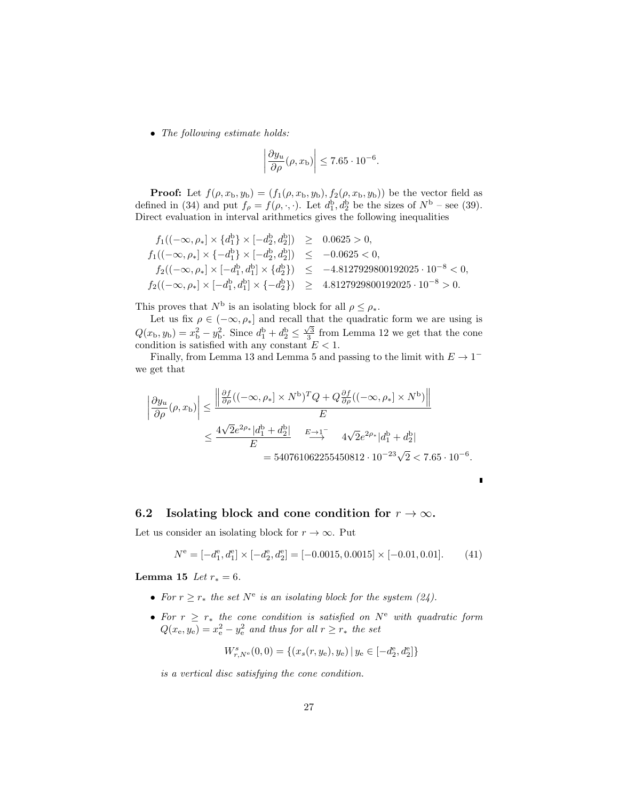• The following estimate holds:

$$
\left| \frac{\partial y_u}{\partial \rho}(\rho, x_{\rm b}) \right| \le 7.65 \cdot 10^{-6}.
$$

**Proof:** Let  $f(\rho, x_{\text{b}}, y_{\text{b}}) = (f_1(\rho, x_{\text{b}}, y_{\text{b}}), f_2(\rho, x_{\text{b}}, y_{\text{b}}))$  be the vector field as defined in (34) and put  $f_{\rho} = f(\rho, \cdot, \cdot)$ . Let  $d_1^{\rm b}, d_2^{\rm b}$  be the sizes of  $N^{\rm b}$  – see (39). Direct evaluation in interval arithmetics gives the following inequalities

$$
f_1((-\infty,\rho_*] \times \{d_1^b\} \times [-d_2^b, d_2^b]) \ge 0.0625 > 0,
$$
  
\n
$$
f_1((-\infty,\rho_*] \times \{-d_1^b\} \times [-d_2^b, d_2^b]) \le -0.0625 < 0,
$$
  
\n
$$
f_2((-\infty,\rho_*] \times [-d_1^b, d_1^b] \times \{d_2^b\}) \le -4.8127929800192025 \cdot 10^{-8} < 0,
$$
  
\n
$$
f_2((-\infty,\rho_*] \times [-d_1^b, d_1^b] \times \{-d_2^b\}) \ge 4.8127929800192025 \cdot 10^{-8} > 0.
$$

This proves that  $N^{\mathrm{b}}$  is an isolating block for all  $\rho \leq \rho_*$ .

Let us fix  $\rho \in (-\infty, \rho_*]$  and recall that the quadratic form we are using is  $Q(x_{\rm b}, y_{\rm b}) = x_{\rm b}^2 - y_{\rm b}^2$ . Since  $d_{\rm l}^{\rm b} + d_{\rm l}^{\rm b} \le \frac{\sqrt{3}}{3}$  from Lemma 12 we get that the cone condition is satisfied with any constant  $E < 1$ .

Finally, from Lemma 13 and Lemma 5 and passing to the limit with  $E \to 1^$ we get that

$$
\left| \frac{\partial y_u}{\partial \rho}(\rho, x_{\rm b}) \right| \le \frac{\left\| \frac{\partial f}{\partial \rho} ((-\infty, \rho_{*}] \times N^{\rm b})^T Q + Q \frac{\partial f}{\partial \rho} ((-\infty, \rho_{*}] \times N^{\rm b}) \right\|}{E}
$$
  

$$
\le \frac{4\sqrt{2}e^{2\rho_{*}}|d_1^{\rm b} + d_2^{\rm b}|}{E} \xrightarrow{E \to 1^{-}} 4\sqrt{2}e^{2\rho_{*}}|d_1^{\rm b} + d_2^{\rm b}|
$$
  

$$
= 540761062255450812 \cdot 10^{-23}\sqrt{2} < 7.65 \cdot 10^{-6}
$$

### 6.2 Isolating block and cone condition for  $r \to \infty$ .

Let us consider an isolating block for  $r \to \infty$ . Put

$$
N^{\rm e} = [-d_1^{\rm e}, d_1^{\rm e}] \times [-d_2^{\rm e}, d_2^{\rm e}] = [-0.0015, 0.0015] \times [-0.01, 0.01]. \tag{41}
$$

.

I

**Lemma 15** Let  $r_* = 6$ .

- For  $r \geq r_*$  the set  $N^e$  is an isolating block for the system (24).
- For  $r \geq r_*$  the cone condition is satisfied on  $N^e$  with quadratic form  $Q(x_e, y_e) = x_e^2 - y_e^2$  and thus for all  $r \ge r_*$  the set

$$
W^s_{r,N^{\rm e}}(0,0)=\{(x_s(r,y_{\rm e}),y_{\rm e})\,|\,y_{\rm e}\in[-d_2^{\rm e},d_2^{\rm e}]\}
$$

is a vertical disc satisfying the cone condition.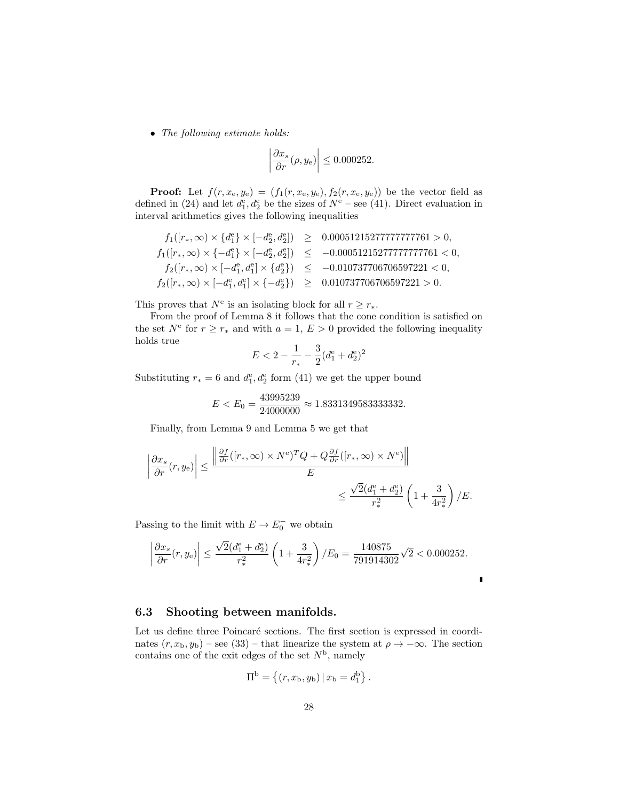• The following estimate holds:

$$
\left| \frac{\partial x_s}{\partial r}(\rho, y_{\rm e}) \right| \le 0.000252.
$$

**Proof:** Let  $f(r, x_e, y_e) = (f_1(r, x_e, y_e), f_2(r, x_e, y_e))$  be the vector field as defined in (24) and let  $d_1^e, d_2^e$  be the sizes of  $N^e$  – see (41). Direct evaluation in interval arithmetics gives the following inequalities

$$
\begin{array}{rcl} f_1([r_*,\infty)\times\{d_1^{\rm e}\}\times[-d_2^{\rm e},d_2^{\rm e}])&\geq&0.00051215277777777761>0,\\ f_1([r_*,\infty)\times\{-d_1^{\rm e}\}\times[-d_2^{\rm e},d_2^{\rm e}])&\leq&-0.00051215277777777761<0,\\ f_2([r_*,\infty)\times[-d_1^{\rm e},d_1^{\rm e}]\times\{d_2^{\rm e}\})&\leq&-0.010737706706597221<0,\\ f_2([r_*,\infty)\times[-d_1^{\rm e},d_1^{\rm e}]\times\{-d_2^{\rm e}\})&\geq&0.010737706706597221>0.\end{array}
$$

This proves that  $N^e$  is an isolating block for all  $r \geq r_*$ .

From the proof of Lemma 8 it follows that the cone condition is satisfied on the set  $N^e$  for  $r \geq r_*$  and with  $a = 1, E > 0$  provided the following inequality holds true

$$
E < 2 - \frac{1}{r_*} - \frac{3}{2}(d_1^e + d_2^e)^2
$$

Substituting  $r_* = 6$  and  $d_1^e, d_2^e$  form (41) we get the upper bound

$$
E < E_0 = \frac{43995239}{24000000} \approx 1.8331349583333332.
$$

Finally, from Lemma 9 and Lemma 5 we get that

$$
\left| \frac{\partial x_s}{\partial r}(r, y_e) \right| \le \frac{\left| \frac{\partial f}{\partial r}([r_*, \infty) \times N^e)^T Q + Q \frac{\partial f}{\partial r}([r_*, \infty) \times N^e) \right|}{E}
$$
  

$$
\le \frac{\sqrt{2} (d_1^e + d_2^e)}{r_*^2} \left(1 + \frac{3}{4r_*^2}\right) / E.
$$

Passing to the limit with  $E \to E_0^-$  we obtain

$$
\left|\frac{\partial x_s}{\partial r}(r,y_\mathrm{e})\right| \le \frac{\sqrt{2}(d_1^\mathrm{e} + d_2^\mathrm{e})}{r_*^2} \left(1 + \frac{3}{4r_*^2}\right) / E_0 = \frac{140875}{791914302} \sqrt{2} < 0.000252.
$$

### 6.3 Shooting between manifolds.

Let us define three Poincaré sections. The first section is expressed in coordinates  $(r, x_b, y_b)$  – see (33) – that linearize the system at  $\rho \to -\infty$ . The section contains one of the exit edges of the set  $N<sup>b</sup>$ , namely

$$
\Pi^{\rm b} = \{(r, x_{\rm b}, y_{\rm b}) | x_{\rm b} = d_1^{\rm b}\}.
$$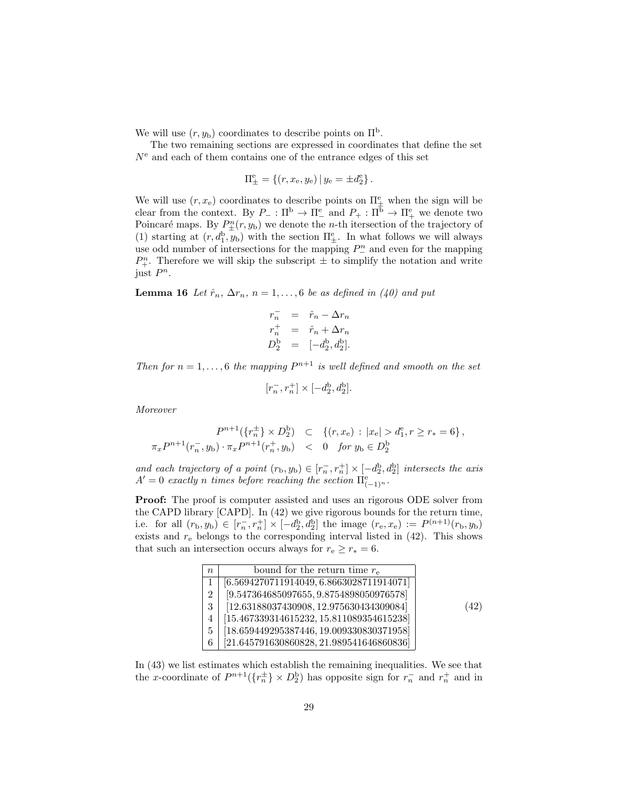We will use  $(r, y_b)$  coordinates to describe points on  $\Pi^b$ .

The two remaining sections are expressed in coordinates that define the set  $N<sup>e</sup>$  and each of them contains one of the entrance edges of this set

$$
\Pi_{\pm}^{e} = \{(r, x_{e}, y_{e}) | y_{e} = \pm d_{2}^{e}\}.
$$

We will use  $(r, x_e)$  coordinates to describe points on  $\Pi^e_{\pm}$  when the sign will be clear from the context. By  $P_-\,:\Pi^b\to\Pi^e_-\,$  and  $P_+\,:\Pi^b\to\Pi^e_+\,$  we denote two Poincaré maps. By  $P_{\pm}^{n}(r, y_{b})$  we denote the *n*-th itersection of the trajectory of (1) starting at  $(r, d_1^b, y_b)$  with the section  $\Pi^e_{\pm}$ . In what follows we will always use odd number of intersections for the mapping  $P_{-}^{n}$  and even for the mapping  $P_{+}^{n}$ . Therefore we will skip the subscript  $\pm$  to simplify the notation and write just  $P^n$ .

**Lemma 16** Let  $\hat{r}_n$ ,  $\Delta r_n$ ,  $n = 1, \ldots, 6$  be as defined in (40) and put

$$
r_n^- = \hat{r}_n - \Delta r_n
$$
  
\n
$$
r_n^+ = \hat{r}_n + \Delta r_n
$$
  
\n
$$
D_2^b = [-d_2^b, d_2^b].
$$

Then for  $n = 1, \ldots, 6$  the mapping  $P^{n+1}$  is well defined and smooth on the set

$$
[r_n^-, r_n^+] \times [-d_2^{\rm b}, d_2^{\rm b}].
$$

Moreover

$$
P^{n+1}(\{r_n^{\pm}\} \times D_2^b) \quad \subset \quad \{(r, x_e) : |x_e| > d_1^e, r \ge r_* = 6\},
$$
  

$$
\pi_x P^{n+1}(r_n^-, y_b) \cdot \pi_x P^{n+1}(r_n^+, y_b) \quad < \quad 0 \quad \text{for } y_b \in D_2^b
$$

and each trajectory of a point  $(r_b, y_b) \in [r_a^-, r_a^+] \times [-d_2^b, d_2^b]$  intersects the axis  $A'=0$  exactly n times before reaching the section  $\Pi_{(-1)^n}^{\rm e}$ .

Proof: The proof is computer assisted and uses an rigorous ODE solver from the CAPD library [CAPD]. In (42) we give rigorous bounds for the return time, i.e. for all  $(r_b, y_b) \in [r_n^-, r_n^+] \times [-d_2^b, d_2^b]$  the image  $(r_e, x_e) := P^{(n+1)}(r_b, y_b)$ exists and  $r_{e}$  belongs to the corresponding interval listed in  $(42)$ . This shows that such an intersection occurs always for  $r_e \ge r_* = 6$ .

| $\overline{n}$ | bound for the return time $r_{\rm e}$      |      |
|----------------|--------------------------------------------|------|
|                | $[6.5694270711914049, 6.8663028711914071]$ |      |
| 2              | $[9.547364685097655, 9.8754898050976578]$  |      |
| 3              | $[12.63188037430908, 12.975630434309084]$  | (42) |
|                | $[15.467339314615232, 15.811089354615238]$ |      |
| 5              | $[18.659449295387446, 19.009330830371958]$ |      |
| 6              | $[21.645791630860828, 21.989541646860836]$ |      |

In (43) we list estimates which establish the remaining inequalities. We see that the x-coordinate of  $P^{n+1}(\lbrace r_n^{\pm} \rbrace \times D_2^{\text{b}})$  has opposite sign for  $r_n^-$  and  $r_n^+$  and in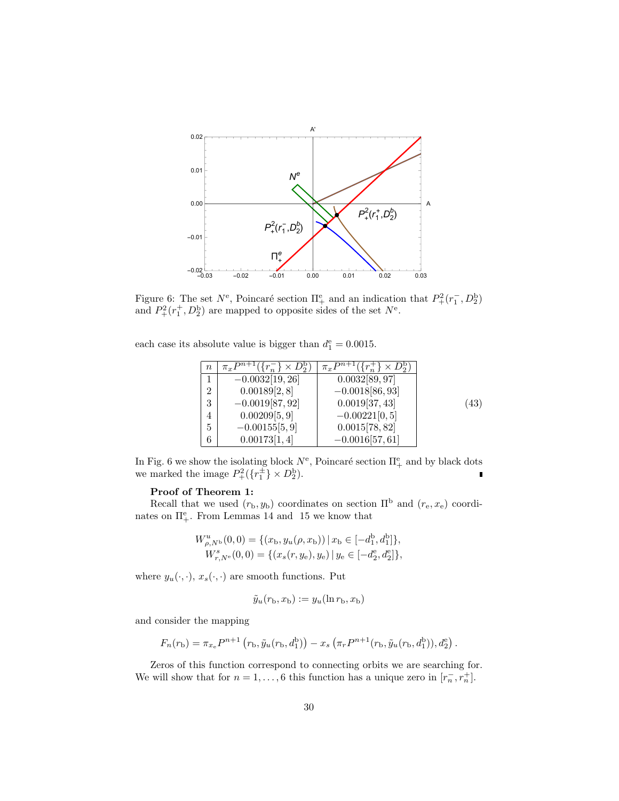

Figure 6: The set  $N^e$ , Poincaré section  $\Pi^e_+$  and an indication that  $P^2_+(r_1^-, D^b_2)$ and  $P_+^2(r_1^+, D_2^b)$  are mapped to opposite sides of the set  $N^e$ .

each case its absolute value is bigger than  $d_1^e = 0.0015$ .

| $\it{n}$       | $\overline{\pi_x P^{n+1}(\{r_n^-\}\times D_2^{\rm b})}$ | $\overline{\pi_x P^{n+1}(\{r_n^+\}\times D_2^b)}$ |      |
|----------------|---------------------------------------------------------|---------------------------------------------------|------|
|                | $-0.0032\overline{19,26}$                               | $0.0032\overline{[89,97]}$                        |      |
| $\overline{2}$ | 0.00189[2,8]                                            | $-0.0018[86, 93]$                                 |      |
| 3              | $-0.0019[87, 92]$                                       | 0.0019[37, 43]                                    | (43) |
| 4              | 0.00209[5,9]                                            | $-0.00221[0, 5]$                                  |      |
| 5              | $-0.00155[5, 9]$                                        | 0.0015[78, 82]                                    |      |
| 6              | 0.00173[1,4]                                            | $-0.0016[57, 61]$                                 |      |

In Fig. 6 we show the isolating block  $N^e$ , Poincaré section  $\Pi^e_+$  and by black dots we marked the image  $P^2_+(\{r_1^{\pm}\}\times D^{\mathrm{b}}_2)$ .

#### Proof of Theorem 1:

Recall that we used  $(r_b, y_b)$  coordinates on section  $\Pi^b$  and  $(r_e, x_e)$  coordinates on  $\Pi^e_+$ . From Lemmas 14 and 15 we know that

$$
W_{\rho,N^b}^u(0,0) = \{(x_b, y_u(\rho, x_b)) | x_b \in [-d_1^b, d_1^b] \},
$$
  

$$
W_{r,N^e}^s(0,0) = \{(x_s(r, y_e), y_e) | y_e \in [-d_2^e, d_2^e] \},
$$

where  $y_u(\cdot, \cdot)$ ,  $x_s(\cdot, \cdot)$  are smooth functions. Put

$$
\tilde{y}_u(r_\mathrm{b}, x_\mathrm{b}) := y_u(\ln r_\mathrm{b}, x_\mathrm{b})
$$

and consider the mapping

$$
F_n(r_b) = \pi_{x_e} P^{n+1} (r_b, \tilde{y}_u(r_b, d_1^b)) - x_s (\pi_r P^{n+1}(r_b, \tilde{y}_u(r_b, d_1^b)), d_2^e).
$$

Zeros of this function correspond to connecting orbits we are searching for. We will show that for  $n = 1, ..., 6$  this function has a unique zero in  $[r_n^-, r_n^+]$ .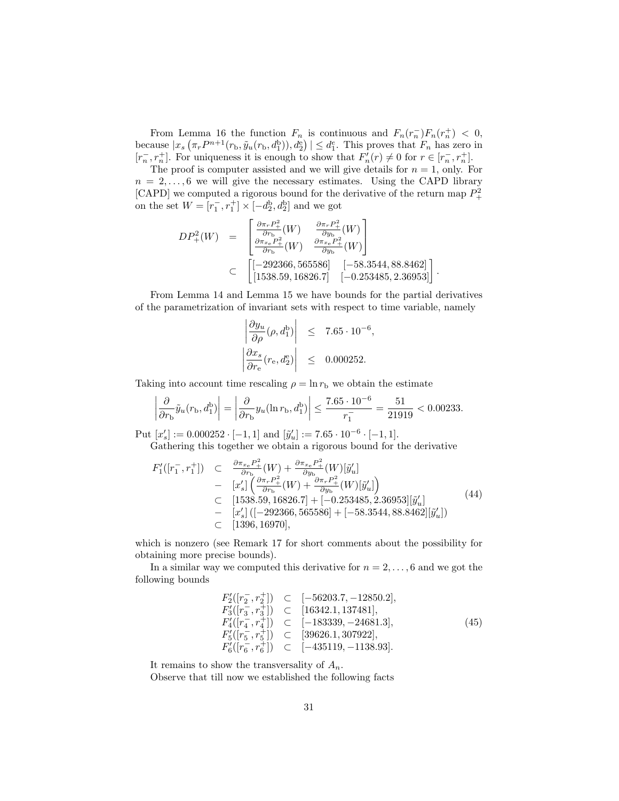From Lemma 16 the function  $F_n$  is continuous and  $F_n(r_n^-)F_n(r_n^+) < 0$ , because  $|x_s(\pi_r P^{n+1}(r_b, \tilde{y}_u(r_b, d_1^b)), d_2^e)| \leq d_1^e$ . This proves that  $F_n$  has zero in  $[r_n^-, r_n^+]$ . For uniqueness it is enough to show that  $F_n'(r) \neq 0$  for  $r \in [r_n^-, r_n^+]$ .

The proof is computer assisted and we will give details for  $n = 1$ , only. For  $n = 2, \ldots, 6$  we will give the necessary estimates. Using the CAPD library [CAPD] we computed a rigorous bound for the derivative of the return map  $P^2_+$ on the set  $W = [r_1^-, r_1^+] \times [-d_2^b, d_2^b]$  and we got

$$
DP_{+}^{2}(W) = \begin{bmatrix} \frac{\partial \pi_{r} P_{+}^{2}}{\partial r_{\rm b}}(W) & \frac{\partial \pi_{r} P_{+}^{2}}{\partial y_{\rm b}}(W) \\ \frac{\partial \pi_{x_{\rm e}} P_{+}^{2}}{\partial r_{\rm b}}(W) & \frac{\partial \pi_{x_{\rm e}} P_{+}^{2}}{\partial y_{\rm b}}(W) \end{bmatrix}
$$
  
\n
$$
\subset \begin{bmatrix} [-292366, 565586] & [-58.3544, 88.8462] \\ [1538.59, 16826.7] & [-0.253485, 2.36953] \end{bmatrix}.
$$

From Lemma 14 and Lemma 15 we have bounds for the partial derivatives of the parametrization of invariant sets with respect to time variable, namely

$$
\left| \frac{\partial y_u}{\partial \rho} (\rho, d_1^b) \right| \leq 7.65 \cdot 10^{-6},
$$
  

$$
\left| \frac{\partial x_s}{\partial r_{\rm e}} (r_{\rm e}, d_2^{\rm e}) \right| \leq 0.000252.
$$

Taking into account time rescaling  $\rho = \ln r_{\rm b}$  we obtain the estimate

 $\overline{\phantom{a}}$ I I  $\overline{\phantom{a}}$ 

$$
\left| \frac{\partial}{\partial r_{\rm b}} \tilde{y}_u(r_{\rm b}, d_1^{\rm b}) \right| = \left| \frac{\partial}{\partial r_{\rm b}} y_u(\ln r_{\rm b}, d_1^{\rm b}) \right| \le \frac{7.65 \cdot 10^{-6}}{r_1} = \frac{51}{21919} < 0.00233.
$$

Put  $[x'_s] := 0.000252 \cdot [-1, 1]$  and  $[\tilde{y}'_u] := 7.65 \cdot 10^{-6} \cdot [-1, 1]$ . Gathering this together we obtain a rigorous bound for the derivative

$$
F'_{1}([r_{1}^{-},r_{1}^{+}]) \quad \subset \quad \frac{\partial \pi_{x_{e}} P_{+}^{2}}{\partial r_{b}}(W) + \frac{\partial \pi_{x_{e}} P_{+}^{2}}{\partial y_{b}}(W)[\tilde{y}'_{u}] - \quad [x'_{s}] \left( \frac{\partial \pi_{r} P_{+}^{2}}{\partial r_{b}}(W) + \frac{\partial \pi_{r} P_{+}^{2}}{\partial y_{b}}(W)[\tilde{y}'_{u}] \right) - \quad [1538.59, 16826.7] + [-0.253485, 2.36953][\tilde{y}'_{u}] - \quad [x'_{s}] ([-292366, 565586] + [-58.3544, 88.8462][\tilde{y}'_{u}]) - \quad [1396, 16970], \tag{44}
$$

which is nonzero (see Remark 17 for short comments about the possibility for obtaining more precise bounds).

In a similar way we computed this derivative for  $n = 2, \ldots, 6$  and we got the following bounds

$$
F_2'([r_2^-, r_2^+]) \subset [-56203.7, -12850.2],
$$
  
\n
$$
F_3'([r_3^-, r_3^+]) \subset [16342.1, 137481],
$$
  
\n
$$
F_4'([r_4^-, r_4^+]) \subset [-183339, -24681.3],
$$
  
\n
$$
F_5'([r_5^-, r_5^+]) \subset [39626.1, 307922],
$$
  
\n
$$
F_6'([r_6^-, r_6^+]) \subset [-435119, -1138.93].
$$
\n(45)

It remains to show the transversality of  $A_n$ .

Observe that till now we established the following facts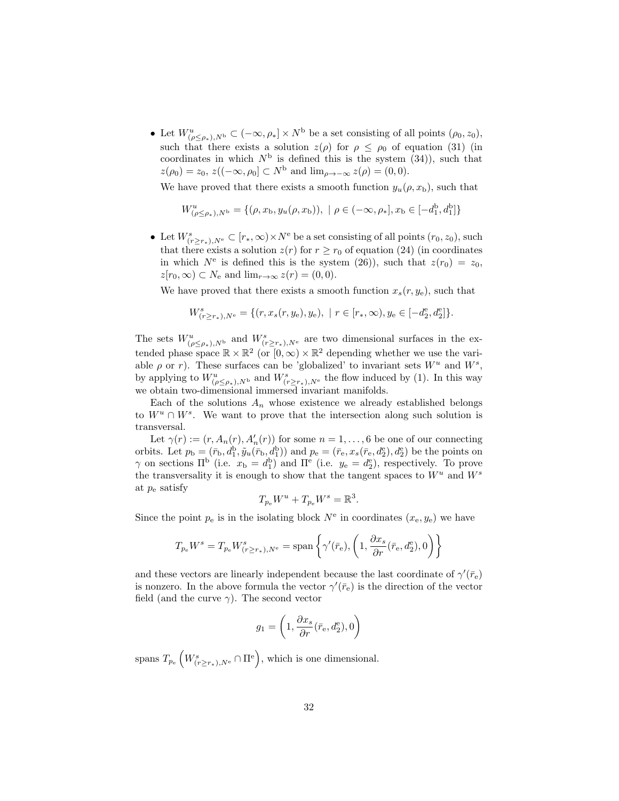• Let  $W^u_{(\rho \leq \rho_*) ,N^{\mathrm{b}}} \subset (-\infty,\rho_*] \times N^{\mathrm{b}}$  be a set consisting of all points  $(\rho_0, z_0),$ such that there exists a solution  $z(\rho)$  for  $\rho \leq \rho_0$  of equation (31) (in coordinates in which  $N^{\rm b}$  is defined this is the system  $(34)$ , such that  $z(\rho_0) = z_0, z((-\infty, \rho_0] \subset N^{\mathrm{b}}$  and  $\lim_{\rho \to -\infty} z(\rho) = (0, 0).$ 

We have proved that there exists a smooth function  $y_u(\rho, x_b)$ , such that

$$
W_{(\rho \le \rho_*) ,N^{\mathbf{b}}}^u = \{(\rho, x_{\mathbf{b}}, y_u(\rho, x_{\mathbf{b}})), \mid \rho \in (-\infty, \rho_*], x_{\mathbf{b}} \in [-d_1^{\mathbf{b}}, d_1^{\mathbf{b}}] \}
$$

• Let  $W^s_{(r \geq r_*)}, N^e} \subset [r_*, \infty) \times N^e$  be a set consisting of all points  $(r_0, z_0)$ , such that there exists a solution  $z(r)$  for  $r \ge r_0$  of equation (24) (in coordinates in which  $N^e$  is defined this is the system (26)), such that  $z(r_0) = z_0$ ,  $z[r_0,\infty) \subset N_e$  and  $\lim_{r\to\infty} z(r) = (0,0)$ .

We have proved that there exists a smooth function  $x_s(r, y_e)$ , such that

$$
W^s_{(r \ge r_*),N^e} = \{ (r, x_s(r, y_e), y_e), \mid r \in [r_*, \infty), y_e \in [-d_2^e, d_2^e] \}.
$$

The sets  $W^u_{(\rho \leq \rho_*)}, N^{\text{b}}$  and  $W^s_{(r \geq r_*), N^{\text{c}}}$  are two dimensional surfaces in the extended phase space  $\mathbb{R} \times \mathbb{R}^2$  (or  $[0, \infty) \times \mathbb{R}^2$  depending whether we use the variable  $\rho$  or r). These surfaces can be 'globalized' to invariant sets  $W^u$  and  $W^s$ , by applying to  $W^u_{(\rho \le \rho_*)$ ,  $N^b}$  and  $W^s_{(r \ge r_*), N^e}$  the flow induced by (1). In this way we obtain two-dimensional immersed invariant manifolds.

Each of the solutions  $A_n$  whose existence we already established belongs to  $W^u \cap W^s$ . We want to prove that the intersection along such solution is transversal.

Let  $\gamma(r) := (r, A_n(r), A'_n(r))$  for some  $n = 1, ..., 6$  be one of our connecting orbits. Let  $p_b = (\bar{r}_b, d_1^b, \tilde{y}_u(\bar{r}_b, d_1^b))$  and  $p_e = (\bar{r}_e, x_s(\bar{r}_e, d_2^e), d_2^e)$  be the points on  $\gamma$  on sections  $\Pi^{\rm b}$  (i.e.  $x_{\rm b} = d_1^{\rm b}$ ) and  $\Pi^{\rm e}$  (i.e.  $y_{\rm e} = d_2^{\rm e}$ ), respectively. To prove the transversality it is enough to show that the tangent spaces to  $W^u$  and  $W^s$ at  $p_e$  satisfy

$$
T_{p_e}W^u + T_{p_e}W^s = \mathbb{R}^3.
$$

Since the point  $p_e$  is in the isolating block  $N^e$  in coordinates  $(x_e, y_e)$  we have

$$
T_{p_\mathrm{e}}W^s=T_{p_\mathrm{e}}W^s_{(r\geq r_*),N^\mathrm{e}}=\mathrm{span}\left\{\gamma'(\bar{r}_\mathrm{e}),\left(1,\frac{\partial x_s}{\partial r}(\bar{r}_\mathrm{e},d_2^\mathrm{e}),0\right)\right\}
$$

and these vectors are linearly independent because the last coordinate of  $\gamma'(\bar{r}_{\rm e})$ is nonzero. In the above formula the vector  $\gamma'(\bar{r}_e)$  is the direction of the vector field (and the curve  $\gamma$ ). The second vector

$$
g_1 = \left(1, \frac{\partial x_s}{\partial r}(\bar{r}_{\mathrm{e}}, d_2^{\mathrm{e}}), 0\right)
$$

spans  $T_{p_e} \left( W_{(r \ge r_*),N^e}^s \cap \Pi^e \right)$ , which is one dimensional.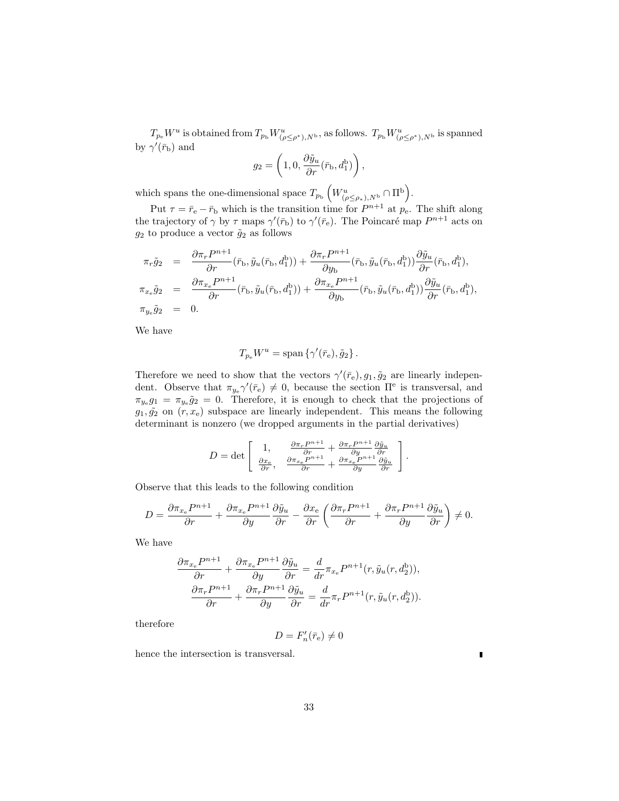$T_{p_e}W^u$  is obtained from  $T_{p_b}W^u_{(\rho \le \rho^*),N^b}$ , as follows.  $T_{p_b}W^u_{(\rho \le \rho^*),N^b}$  is spanned by  $\gamma'(\bar{r}_{\mathrm{b}})$  and

$$
g_2 = \left(1, 0, \frac{\partial \tilde{y}_u}{\partial r}(\bar{r}_\text{b}, d_1^\text{b})\right),
$$

which spans the one-dimensional space  $T_{p_{\rm b}}\left(W^u_{(\rho \leq \rho_*),N^{\rm b}} \cap \Pi^{\rm b}\right)$ .

Put  $\tau = \bar{r}_e - \bar{r}_b$  which is the transition time for  $P^{n+1}$  at  $p_e$ . The shift along the trajectory of  $\gamma$  by  $\tau$  maps  $\gamma'(\bar{r}_b)$  to  $\gamma'(\bar{r}_e)$ . The Poincaré map  $P^{n+1}$  acts on  $g_2$  to produce a vector  $\tilde{g}_2$  as follows

$$
\pi_r \tilde{g}_2 = \frac{\partial \pi_r P^{n+1}}{\partial r} (\bar{r}_{\rm b}, \tilde{y}_u(\bar{r}_{\rm b}, d_1^{\rm b})) + \frac{\partial \pi_r P^{n+1}}{\partial y_{\rm b}} (\bar{r}_{\rm b}, \tilde{y}_u(\bar{r}_{\rm b}, d_1^{\rm b})) \frac{\partial \tilde{y}_u}{\partial r} (\bar{r}_{\rm b}, d_1^{\rm b}),
$$
  

$$
\pi_{x_{\rm e}} \tilde{g}_2 = \frac{\partial \pi_{x_{\rm e}} P^{n+1}}{\partial r} (\bar{r}_{\rm b}, \tilde{y}_u(\bar{r}_{\rm b}, d_1^{\rm b})) + \frac{\partial \pi_{x_{\rm e}} P^{n+1}}{\partial y_{\rm b}} (\bar{r}_{\rm b}, \tilde{y}_u(\bar{r}_{\rm b}, d_1^{\rm b})) \frac{\partial \tilde{y}_u}{\partial r} (\bar{r}_{\rm b}, d_1^{\rm b}),
$$
  

$$
\pi_{y_{\rm e}} \tilde{g}_2 = 0.
$$

We have

$$
T_{p_e}W^u = \text{span}\left\{\gamma'(\bar{r}_e), \tilde{g}_2\right\}.
$$

Therefore we need to show that the vectors  $\gamma'(\bar{r}_e), g_1, \tilde{g}_2$  are linearly independent. Observe that  $\pi_{y_e} \gamma'(\bar{r}_e) \neq 0$ , because the section  $\Pi^e$  is transversal, and  $\pi_{y_e}g_1 = \pi_{y_e}\tilde{g}_2 = 0$ . Therefore, it is enough to check that the projections of  $g_1, \tilde{g_2}$  on  $(r, x_e)$  subspace are linearly independent. This means the following determinant is nonzero (we dropped arguments in the partial derivatives)

$$
D = \det \left[ \begin{array}{cc} 1, & \frac{\partial \pi_r P^{n+1}}{\partial r} + \frac{\partial \pi_r P^{n+1}}{\partial y} \frac{\partial \tilde{y}_u}{\partial r} \\ \frac{\partial x_e}{\partial r}, & \frac{\partial \pi_{x_e} P^{n+1}}{\partial r} + \frac{\partial \pi_{x_e} P^{n+1}}{\partial y} \frac{\partial \tilde{y}_u}{\partial r} \end{array} \right].
$$

Observe that this leads to the following condition

$$
D = \frac{\partial \pi_{x_e} P^{n+1}}{\partial r} + \frac{\partial \pi_{x_e} P^{n+1}}{\partial y} \frac{\partial \tilde{y}_u}{\partial r} - \frac{\partial x_e}{\partial r} \left( \frac{\partial \pi_r P^{n+1}}{\partial r} + \frac{\partial \pi_r P^{n+1}}{\partial y} \frac{\partial \tilde{y}_u}{\partial r} \right) \neq 0.
$$

We have

$$
\frac{\partial \pi_{x_e} P^{n+1}}{\partial r} + \frac{\partial \pi_{x_e} P^{n+1}}{\partial y} \frac{\partial \tilde{y}_u}{\partial r} = \frac{d}{dr} \pi_{x_e} P^{n+1}(r, \tilde{y}_u(r, d_2^b)),
$$

$$
\frac{\partial \pi_r P^{n+1}}{\partial r} + \frac{\partial \pi_r P^{n+1}}{\partial y} \frac{\partial \tilde{y}_u}{\partial r} = \frac{d}{dr} \pi_r P^{n+1}(r, \tilde{y}_u(r, d_2^b)).
$$

therefore

$$
D=F_n'(\bar{r}_{\rm e})\neq 0
$$

ī

hence the intersection is transversal.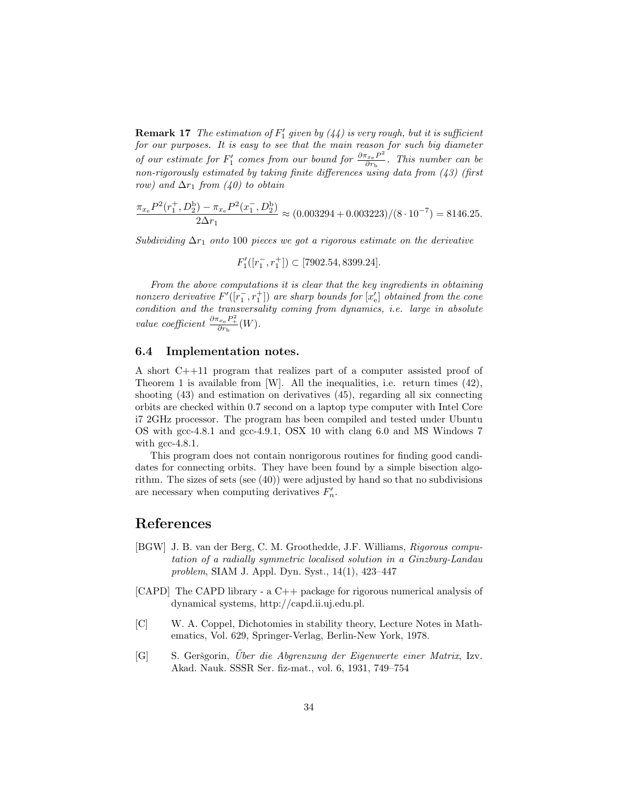**Remark 17** The estimation of  $F'_1$  given by  $(44)$  is very rough, but it is sufficient for our purposes. It is easy to see that the main reason for such big diameter of our estimate for  $F_1'$  comes from our bound for  $\frac{\partial \pi_{x_e} P^2}{\partial r_{\rm b}}$  $\frac{\sigma_{x_e} P}{\partial r_{\rm b}}$ . This number can be non-rigorously estimated by taking finite differences using data from (43) (first row) and  $\Delta r_1$  from (40) to obtain

$$
\frac{\pi_{x_e} P^2(r_1^+, D_2^b) - \pi_{x_e} P^2(x_1^-, D_2^b)}{2\Delta r_1} \approx (0.003294 + 0.003223)/(8 \cdot 10^{-7}) = 8146.25.
$$

Subdividing  $\Delta r_1$  onto 100 pieces we got a rigorous estimate on the derivative

$$
F_1'([r_1^-, r_1^+]) \subset [7902.54, 8399.24].
$$

From the above computations it is clear that the key ingredients in obtaining nonzero derivative  $F'([r_1^-, r_1^+])$  are sharp bounds for  $[x'_{e}]$  obtained from the cone condition and the transversality coming from dynamics, i.e. large in absolute value coefficient  $\frac{\partial \pi_{x_e} P_+^2}{\partial r_{\text{b}}}(W)$ .

#### 6.4 Implementation notes.

A short C++11 program that realizes part of a computer assisted proof of Theorem 1 is available from [W]. All the inequalities, i.e. return times (42), shooting (43) and estimation on derivatives (45), regarding all six connecting orbits are checked within 0.7 second on a laptop type computer with Intel Core i7 2GHz processor. The program has been compiled and tested under Ubuntu OS with gcc-4.8.1 and gcc-4.9.1, OSX 10 with clang 6.0 and MS Windows 7 with gcc-4.8.1.

This program does not contain nonrigorous routines for finding good candidates for connecting orbits. They have been found by a simple bisection algorithm. The sizes of sets (see (40)) were adjusted by hand so that no subdivisions are necessary when computing derivatives  $F'_n$ .

## References

- [BGW] J. B. van der Berg, C. M. Groothedde, J.F. Williams, Rigorous computation of a radially symmetric localised solution in a Ginzburg-Landau problem, SIAM J. Appl. Dyn. Syst., 14(1), 423–447
- [CAPD] The CAPD library a C++ package for rigorous numerical analysis of dynamical systems, http://capd.ii.uj.edu.pl.
- [C] W. A. Coppel, Dichotomies in stability theory, Lecture Notes in Mathematics, Vol. 629, Springer-Verlag, Berlin-New York, 1978.
- [G] S. Geršgorin, Über die Abgrenzung der Eigenwerte einer Matrix, Izv. Akad. Nauk. SSSR Ser. fiz-mat., vol. 6, 1931, 749–754